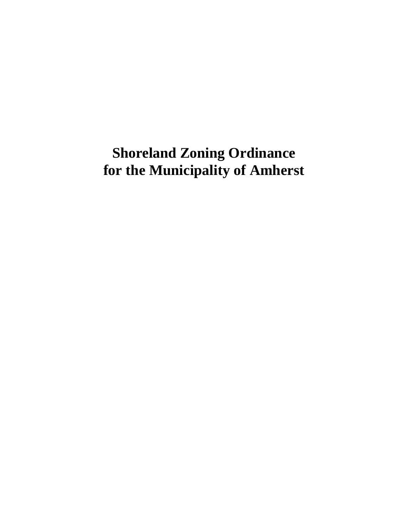# **Shoreland Zoning Ordinance for the Municipality of Amherst**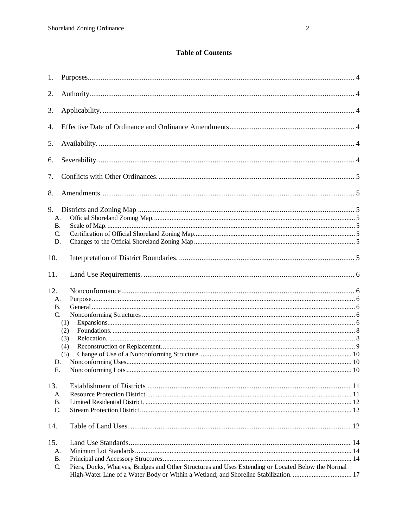# **Table of Contents**

| 1.              |                                                                                                    |  |
|-----------------|----------------------------------------------------------------------------------------------------|--|
| 2.              |                                                                                                    |  |
| 3.              |                                                                                                    |  |
| 4.              |                                                                                                    |  |
| 5.              |                                                                                                    |  |
| 6.              |                                                                                                    |  |
| 7.              |                                                                                                    |  |
| 8.              |                                                                                                    |  |
| 9.              |                                                                                                    |  |
| А.              |                                                                                                    |  |
| <b>B.</b>       |                                                                                                    |  |
| $\mathcal{C}$ . |                                                                                                    |  |
| D.              |                                                                                                    |  |
| 10.             |                                                                                                    |  |
| 11.             |                                                                                                    |  |
| 12.             |                                                                                                    |  |
|                 |                                                                                                    |  |
| А.              |                                                                                                    |  |
| <b>B.</b>       |                                                                                                    |  |
| $\mathcal{C}$ . |                                                                                                    |  |
|                 | (1)                                                                                                |  |
|                 | (2)                                                                                                |  |
|                 | (3)                                                                                                |  |
|                 | (4)                                                                                                |  |
|                 | (5)                                                                                                |  |
| D.              |                                                                                                    |  |
|                 | Е.                                                                                                 |  |
|                 |                                                                                                    |  |
| 13.             |                                                                                                    |  |
| A.              |                                                                                                    |  |
| <b>B.</b><br>C. |                                                                                                    |  |
|                 |                                                                                                    |  |
| 14.             |                                                                                                    |  |
| 15.             |                                                                                                    |  |
| А.              |                                                                                                    |  |
| <b>B.</b>       |                                                                                                    |  |
| C.              | Piers, Docks, Wharves, Bridges and Other Structures and Uses Extending or Located Below the Normal |  |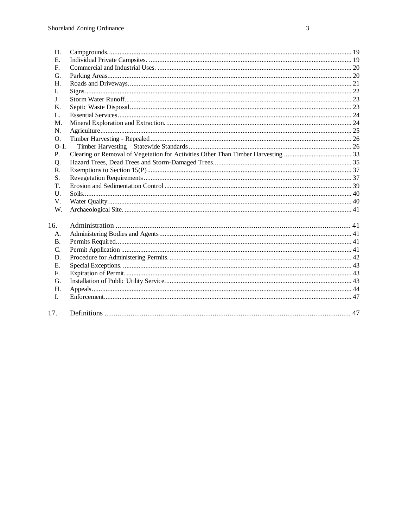| D.         |  |
|------------|--|
| Е.         |  |
| F.         |  |
| G.         |  |
| Н.         |  |
| I.         |  |
| J.         |  |
| Κ.         |  |
| L.         |  |
| M.         |  |
| N.         |  |
| $\Omega$ . |  |
| $O-1$ .    |  |
| P.         |  |
| Q.         |  |
| R.         |  |
| S.         |  |
| T.         |  |
| U.         |  |
| V.         |  |
| W.         |  |
| 16.        |  |
| А.         |  |
| <b>B.</b>  |  |
| C.         |  |
| D.         |  |
| Е.         |  |
| F.         |  |
| G.         |  |
| H.         |  |
| I.         |  |
|            |  |
| 17.        |  |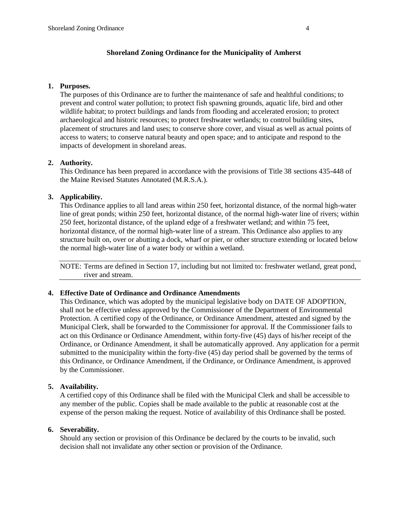#### **Shoreland Zoning Ordinance for the Municipality of Amherst**

#### **1. Purposes.**

The purposes of this Ordinance are to further the maintenance of safe and healthful conditions; to prevent and control water pollution; to protect fish spawning grounds, aquatic life, bird and other wildlife habitat; to protect buildings and lands from flooding and accelerated erosion; to protect archaeological and historic resources; to protect freshwater wetlands; to control building sites, placement of structures and land uses; to conserve shore cover, and visual as well as actual points of access to waters; to conserve natural beauty and open space; and to anticipate and respond to the impacts of development in shoreland areas.

## **2. Authority.**

This Ordinance has been prepared in accordance with the provisions of Title 38 sections 435-448 of the Maine Revised Statutes Annotated (M.R.S.A.).

## **3. Applicability.**

This Ordinance applies to all land areas within 250 feet, horizontal distance, of the normal high-water line of great ponds; within 250 feet, horizontal distance, of the normal high-water line of rivers; within 250 feet, horizontal distance, of the upland edge of a freshwater wetland; and within 75 feet, horizontal distance, of the normal high-water line of a stream. This Ordinance also applies to any structure built on, over or abutting a dock, wharf or pier, or other structure extending or located below the normal high-water line of a water body or within a wetland.

NOTE: Terms are defined in Section 17, including but not limited to: freshwater wetland, great pond, river and stream.

## **4. Effective Date of Ordinance and Ordinance Amendments**

This Ordinance, which was adopted by the municipal legislative body on DATE OF ADOPTION, shall not be effective unless approved by the Commissioner of the Department of Environmental Protection. A certified copy of the Ordinance, or Ordinance Amendment, attested and signed by the Municipal Clerk, shall be forwarded to the Commissioner for approval. If the Commissioner fails to act on this Ordinance or Ordinance Amendment, within forty-five (45) days of his/her receipt of the Ordinance, or Ordinance Amendment, it shall be automatically approved. Any application for a permit submitted to the municipality within the forty-five (45) day period shall be governed by the terms of this Ordinance, or Ordinance Amendment, if the Ordinance, or Ordinance Amendment, is approved by the Commissioner.

## **5. Availability.**

A certified copy of this Ordinance shall be filed with the Municipal Clerk and shall be accessible to any member of the public. Copies shall be made available to the public at reasonable cost at the expense of the person making the request. Notice of availability of this Ordinance shall be posted.

## **6. Severability.**

Should any section or provision of this Ordinance be declared by the courts to be invalid, such decision shall not invalidate any other section or provision of the Ordinance.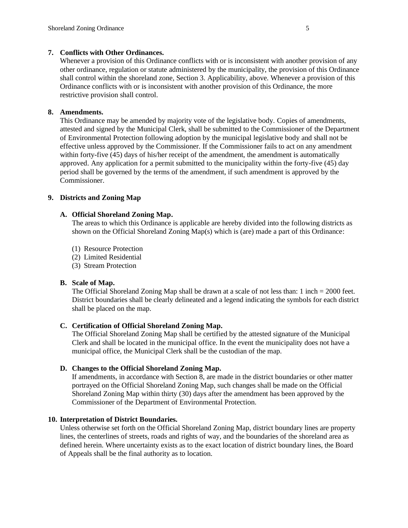## **7. Conflicts with Other Ordinances.**

Whenever a provision of this Ordinance conflicts with or is inconsistent with another provision of any other ordinance, regulation or statute administered by the municipality, the provision of this Ordinance shall control within the shoreland zone, Section 3. Applicability, above. Whenever a provision of this Ordinance conflicts with or is inconsistent with another provision of this Ordinance, the more restrictive provision shall control.

# **8. Amendments.**

This Ordinance may be amended by majority vote of the legislative body. Copies of amendments, attested and signed by the Municipal Clerk, shall be submitted to the Commissioner of the Department of Environmental Protection following adoption by the municipal legislative body and shall not be effective unless approved by the Commissioner. If the Commissioner fails to act on any amendment within forty-five  $(45)$  days of his/her receipt of the amendment, the amendment is automatically approved. Any application for a permit submitted to the municipality within the forty-five (45) day period shall be governed by the terms of the amendment, if such amendment is approved by the Commissioner.

## **9. Districts and Zoning Map**

# **A. Official Shoreland Zoning Map.**

The areas to which this Ordinance is applicable are hereby divided into the following districts as shown on the Official Shoreland Zoning Map(s) which is (are) made a part of this Ordinance:

- (1) Resource Protection
- (2) Limited Residential
- (3) Stream Protection

## **B. Scale of Map.**

The Official Shoreland Zoning Map shall be drawn at a scale of not less than: 1 inch = 2000 feet. District boundaries shall be clearly delineated and a legend indicating the symbols for each district shall be placed on the map.

## **C. Certification of Official Shoreland Zoning Map.**

The Official Shoreland Zoning Map shall be certified by the attested signature of the Municipal Clerk and shall be located in the municipal office. In the event the municipality does not have a municipal office, the Municipal Clerk shall be the custodian of the map.

## **D. Changes to the Official Shoreland Zoning Map.**

If amendments, in accordance with Section 8, are made in the district boundaries or other matter portrayed on the Official Shoreland Zoning Map, such changes shall be made on the Official Shoreland Zoning Map within thirty (30) days after the amendment has been approved by the Commissioner of the Department of Environmental Protection.

## **10. Interpretation of District Boundaries.**

Unless otherwise set forth on the Official Shoreland Zoning Map, district boundary lines are property lines, the centerlines of streets, roads and rights of way, and the boundaries of the shoreland area as defined herein. Where uncertainty exists as to the exact location of district boundary lines, the Board of Appeals shall be the final authority as to location.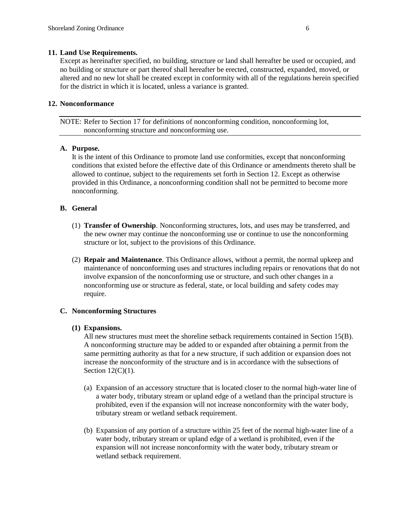#### **11. Land Use Requirements.**

Except as hereinafter specified, no building, structure or land shall hereafter be used or occupied, and no building or structure or part thereof shall hereafter be erected, constructed, expanded, moved, or altered and no new lot shall be created except in conformity with all of the regulations herein specified for the district in which it is located, unless a variance is granted.

#### **12. Nonconformance**

NOTE: Refer to Section 17 for definitions of nonconforming condition, nonconforming lot, nonconforming structure and nonconforming use.

## **A. Purpose.**

It is the intent of this Ordinance to promote land use conformities, except that nonconforming conditions that existed before the effective date of this Ordinance or amendments thereto shall be allowed to continue, subject to the requirements set forth in Section 12. Except as otherwise provided in this Ordinance, a nonconforming condition shall not be permitted to become more nonconforming.

#### **B. General**

- (1) **Transfer of Ownership**. Nonconforming structures, lots, and uses may be transferred, and the new owner may continue the nonconforming use or continue to use the nonconforming structure or lot, subject to the provisions of this Ordinance.
- (2) **Repair and Maintenance**. This Ordinance allows, without a permit, the normal upkeep and maintenance of nonconforming uses and structures including repairs or renovations that do not involve expansion of the nonconforming use or structure, and such other changes in a nonconforming use or structure as federal, state, or local building and safety codes may require.

## **C. Nonconforming Structures**

#### **(1) Expansions.**

All new structures must meet the shoreline setback requirements contained in Section 15(B). A nonconforming structure may be added to or expanded after obtaining a permit from the same permitting authority as that for a new structure, if such addition or expansion does not increase the nonconformity of the structure and is in accordance with the subsections of Section 12(C)(1).

- (a) Expansion of an accessory structure that is located closer to the normal high-water line of a water body, tributary stream or upland edge of a wetland than the principal structure is prohibited, even if the expansion will not increase nonconformity with the water body, tributary stream or wetland setback requirement.
- (b) Expansion of any portion of a structure within 25 feet of the normal high-water line of a water body, tributary stream or upland edge of a wetland is prohibited, even if the expansion will not increase nonconformity with the water body, tributary stream or wetland setback requirement.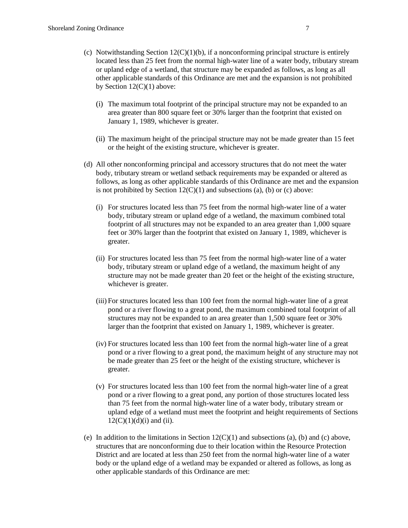- (c) Notwithstanding Section  $12(C)(1)(b)$ , if a nonconforming principal structure is entirely located less than 25 feet from the normal high-water line of a water body, tributary stream or upland edge of a wetland, that structure may be expanded as follows, as long as all other applicable standards of this Ordinance are met and the expansion is not prohibited by Section  $12(C)(1)$  above:
	- (i) The maximum total footprint of the principal structure may not be expanded to an area greater than 800 square feet or 30% larger than the footprint that existed on January 1, 1989, whichever is greater.
	- (ii) The maximum height of the principal structure may not be made greater than 15 feet or the height of the existing structure, whichever is greater.
- (d) All other nonconforming principal and accessory structures that do not meet the water body, tributary stream or wetland setback requirements may be expanded or altered as follows, as long as other applicable standards of this Ordinance are met and the expansion is not prohibited by Section  $12(C)(1)$  and subsections (a), (b) or (c) above:
	- (i) For structures located less than 75 feet from the normal high-water line of a water body, tributary stream or upland edge of a wetland, the maximum combined total footprint of all structures may not be expanded to an area greater than 1,000 square feet or 30% larger than the footprint that existed on January 1, 1989, whichever is greater.
	- (ii) For structures located less than 75 feet from the normal high-water line of a water body, tributary stream or upland edge of a wetland, the maximum height of any structure may not be made greater than 20 feet or the height of the existing structure, whichever is greater.
	- (iii) For structures located less than 100 feet from the normal high-water line of a great pond or a river flowing to a great pond, the maximum combined total footprint of all structures may not be expanded to an area greater than 1,500 square feet or 30% larger than the footprint that existed on January 1, 1989, whichever is greater.
	- (iv) For structures located less than 100 feet from the normal high-water line of a great pond or a river flowing to a great pond, the maximum height of any structure may not be made greater than 25 feet or the height of the existing structure, whichever is greater.
	- (v) For structures located less than 100 feet from the normal high-water line of a great pond or a river flowing to a great pond, any portion of those structures located less than 75 feet from the normal high-water line of a water body, tributary stream or upland edge of a wetland must meet the footprint and height requirements of Sections  $12(C)(1)(d)(i)$  and (ii).
- (e) In addition to the limitations in Section  $12(C)(1)$  and subsections (a), (b) and (c) above, structures that are nonconforming due to their location within the Resource Protection District and are located at less than 250 feet from the normal high-water line of a water body or the upland edge of a wetland may be expanded or altered as follows, as long as other applicable standards of this Ordinance are met: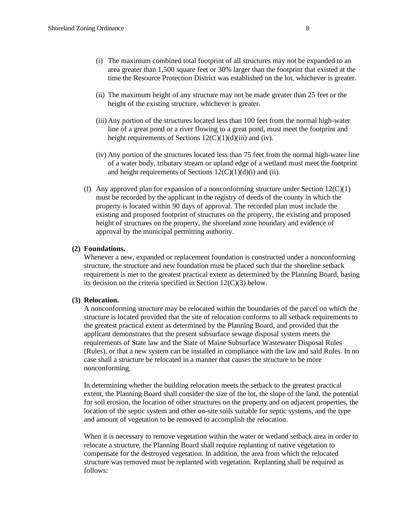- (i) The maximum combined total footprint of all structures may not be expanded to an area greater than 1,500 square feet or 30% larger than the footprint that existed at the time the Resource Protection District was established on the lot, whichever is greater.
- (ii) The maximum height of any structure may not be made greater than 25 feet or the height of the existing structure, whichever is greater.
- (iii) Any portion of the structures located less than 100 feet from the normal high-water line of a great pond or a river flowing to a great pond, must meet the footprint and height requirements of Sections  $12(C)(1)(d)(iii)$  and (iv).
- (iv) Any portion of the structures located less than 75 feet from the normal high-water line of a water body, tributary stream or upland edge of a wetland must meet the footprint and height requirements of Sections  $12(C)(1)(d)(i)$  and (ii).
- (f) Any approved plan for expansion of a nonconforming structure under Section  $12(C)(1)$ must be recorded by the applicant in the registry of deeds of the county in which the property is located within 90 days of approval. The recorded plan must include the existing and proposed footprint of structures on the property, the existing and proposed height of structures on the property, the shoreland zone boundary and evidence of approval by the municipal permitting authority.

## **(2) Foundations.**

Whenever a new, expanded or replacement foundation is constructed under a nonconforming structure, the structure and new foundation must be placed such that the shoreline setback requirement is met to the greatest practical extent as determined by the Planning Board, basing its decision on the criteria specified in Section 12(C)(3) below.

#### **(3) Relocation.**

A nonconforming structure may be relocated within the boundaries of the parcel on which the structure is located provided that the site of relocation conforms to all setback requirements to the greatest practical extent as determined by the Planning Board, and provided that the applicant demonstrates that the present subsurface sewage disposal system meets the requirements of State law and the State of Maine Subsurface Wastewater Disposal Rules (Rules), or that a new system can be installed in compliance with the law and said Rules. In no case shall a structure be relocated in a manner that causes the structure to be more nonconforming.

In determining whether the building relocation meets the setback to the greatest practical extent, the Planning Board shall consider the size of the lot, the slope of the land, the potential for soil erosion, the location of other structures on the property and on adjacent properties, the location of the septic system and other on-site soils suitable for septic systems, and the type and amount of vegetation to be removed to accomplish the relocation.

When it is necessary to remove vegetation within the water or wetland setback area in order to relocate a structure, the Planning Board shall require replanting of native vegetation to compensate for the destroyed vegetation. In addition, the area from which the relocated structure was removed must be replanted with vegetation. Replanting shall be required as follows: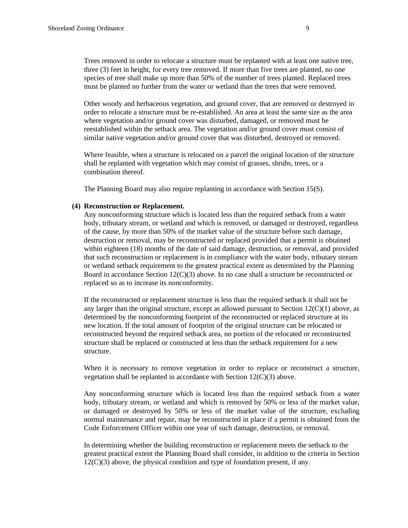Trees removed in order to relocate a structure must be replanted with at least one native tree, three (3) feet in height, for every tree removed. If more than five trees are planted, no one species of tree shall make up more than 50% of the number of trees planted. Replaced trees must be planted no further from the water or wetland than the trees that were removed.

Other woody and herbaceous vegetation, and ground cover, that are removed or destroyed in order to relocate a structure must be re-established. An area at least the same size as the area where vegetation and/or ground cover was disturbed, damaged, or removed must be reestablished within the setback area. The vegetation and/or ground cover must consist of similar native vegetation and/or ground cover that was disturbed, destroyed or removed.

Where feasible, when a structure is relocated on a parcel the original location of the structure shall be replanted with vegetation which may consist of grasses, shrubs, trees, or a combination thereof.

The Planning Board may also require replanting in accordance with Section 15(S).

#### **(4) Reconstruction or Replacement.**

Any nonconforming structure which is located less than the required setback from a water body, tributary stream, or wetland and which is removed, or damaged or destroyed, regardless of the cause, by more than 50% of the market value of the structure before such damage, destruction or removal, may be reconstructed or replaced provided that a permit is obtained within eighteen (18) months of the date of said damage, destruction, or removal, and provided that such reconstruction or replacement is in compliance with the water body, tributary stream or wetland setback requirement to the greatest practical extent as determined by the Planning Board in accordance Section  $12(C)(3)$  above. In no case shall a structure be reconstructed or replaced so as to increase its nonconformity.

If the reconstructed or replacement structure is less than the required setback it shall not be any larger than the original structure, except as allowed pursuant to Section  $12(C)(1)$  above, as determined by the nonconforming footprint of the reconstructed or replaced structure at its new location. If the total amount of footprint of the original structure can be relocated or reconstructed beyond the required setback area, no portion of the relocated or reconstructed structure shall be replaced or constructed at less than the setback requirement for a new structure.

When it is necessary to remove vegetation in order to replace or reconstruct a structure, vegetation shall be replanted in accordance with Section 12(C)(3) above.

Any nonconforming structure which is located less than the required setback from a water body, tributary stream, or wetland and which is removed by 50% or less of the market value, or damaged or destroyed by 50% or less of the market value of the structure, excluding normal maintenance and repair, may be reconstructed in place if a permit is obtained from the Code Enforcement Officer within one year of such damage, destruction, or removal.

In determining whether the building reconstruction or replacement meets the setback to the greatest practical extent the Planning Board shall consider, in addition to the criteria in Section 12(C)(3) above, the physical condition and type of foundation present, if any.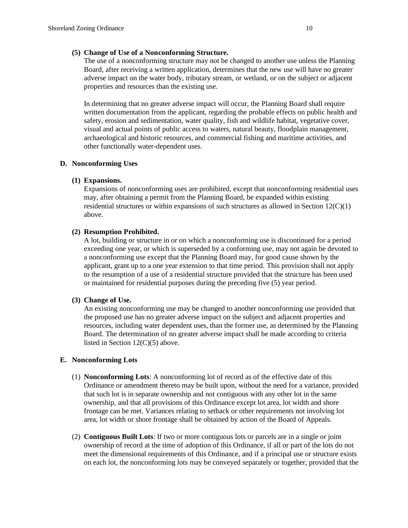# **(5) Change of Use of a Nonconforming Structure.**

The use of a nonconforming structure may not be changed to another use unless the Planning Board, after receiving a written application, determines that the new use will have no greater adverse impact on the water body, tributary stream, or wetland, or on the subject or adjacent properties and resources than the existing use.

In determining that no greater adverse impact will occur, the Planning Board shall require written documentation from the applicant, regarding the probable effects on public health and safety, erosion and sedimentation, water quality, fish and wildlife habitat, vegetative cover, visual and actual points of public access to waters, natural beauty, floodplain management, archaeological and historic resources, and commercial fishing and maritime activities, and other functionally water-dependent uses.

# **D. Nonconforming Uses**

# **(1) Expansions.**

Expansions of nonconforming uses are prohibited, except that nonconforming residential uses may, after obtaining a permit from the Planning Board, be expanded within existing residential structures or within expansions of such structures as allowed in Section  $12(C)(1)$ above.

# **(2) Resumption Prohibited.**

A lot, building or structure in or on which a nonconforming use is discontinued for a period exceeding one year, or which is superseded by a conforming use, may not again be devoted to a nonconforming use except that the Planning Board may, for good cause shown by the applicant, grant up to a one year extension to that time period. This provision shall not apply to the resumption of a use of a residential structure provided that the structure has been used or maintained for residential purposes during the preceding five (5) year period.

## **(3) Change of Use.**

An existing nonconforming use may be changed to another nonconforming use provided that the proposed use has no greater adverse impact on the subject and adjacent properties and resources, including water dependent uses, than the former use, as determined by the Planning Board. The determination of no greater adverse impact shall be made according to criteria listed in Section 12(C)(5) above.

# **E. Nonconforming Lots**

- (1) **Nonconforming Lots**: A nonconforming lot of record as of the effective date of this Ordinance or amendment thereto may be built upon, without the need for a variance, provided that such lot is in separate ownership and not contiguous with any other lot in the same ownership, and that all provisions of this Ordinance except lot area, lot width and shore frontage can be met. Variances relating to setback or other requirements not involving lot area, lot width or shore frontage shall be obtained by action of the Board of Appeals.
- (2) **Contiguous Built Lots**: If two or more contiguous lots or parcels are in a single or joint ownership of record at the time of adoption of this Ordinance, if all or part of the lots do not meet the dimensional requirements of this Ordinance, and if a principal use or structure exists on each lot, the nonconforming lots may be conveyed separately or together, provided that the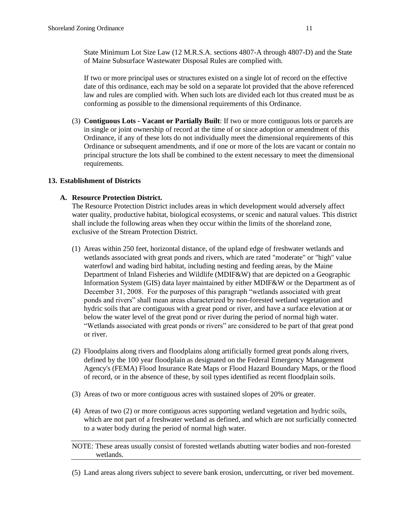State Minimum Lot Size Law (12 M.R.S.A. sections 4807-A through 4807-D) and the State of Maine Subsurface Wastewater Disposal Rules are complied with.

If two or more principal uses or structures existed on a single lot of record on the effective date of this ordinance, each may be sold on a separate lot provided that the above referenced law and rules are complied with. When such lots are divided each lot thus created must be as conforming as possible to the dimensional requirements of this Ordinance.

(3) **Contiguous Lots - Vacant or Partially Built**: If two or more contiguous lots or parcels are in single or joint ownership of record at the time of or since adoption or amendment of this Ordinance, if any of these lots do not individually meet the dimensional requirements of this Ordinance or subsequent amendments, and if one or more of the lots are vacant or contain no principal structure the lots shall be combined to the extent necessary to meet the dimensional requirements.

#### **13. Establishment of Districts**

#### **A. Resource Protection District.**

The Resource Protection District includes areas in which development would adversely affect water quality, productive habitat, biological ecosystems, or scenic and natural values. This district shall include the following areas when they occur within the limits of the shoreland zone, exclusive of the Stream Protection District.

- (1) Areas within 250 feet, horizontal distance, of the upland edge of freshwater wetlands and wetlands associated with great ponds and rivers, which are rated "moderate" or "high" value waterfowl and wading bird habitat, including nesting and feeding areas, by the Maine Department of Inland Fisheries and Wildlife (MDIF&W) that are depicted on a Geographic Information System (GIS) data layer maintained by either MDIF&W or the Department as of December 31, 2008. For the purposes of this paragraph "wetlands associated with great ponds and rivers" shall mean areas characterized by non-forested wetland vegetation and hydric soils that are contiguous with a great pond or river, and have a surface elevation at or below the water level of the great pond or river during the period of normal high water. "Wetlands associated with great ponds or rivers" are considered to be part of that great pond or river.
- (2) Floodplains along rivers and floodplains along artificially formed great ponds along rivers, defined by the 100 year floodplain as designated on the Federal Emergency Management Agency's (FEMA) Flood Insurance Rate Maps or Flood Hazard Boundary Maps, or the flood of record, or in the absence of these, by soil types identified as recent floodplain soils.
- (3) Areas of two or more contiguous acres with sustained slopes of 20% or greater.
- (4) Areas of two (2) or more contiguous acres supporting wetland vegetation and hydric soils, which are not part of a freshwater wetland as defined, and which are not surficially connected to a water body during the period of normal high water.

NOTE: These areas usually consist of forested wetlands abutting water bodies and non-forested wetlands.

(5) Land areas along rivers subject to severe bank erosion, undercutting, or river bed movement.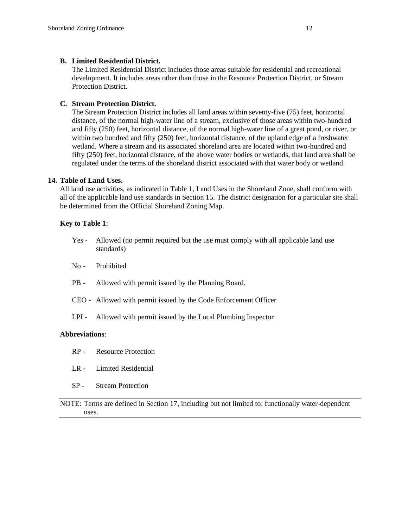#### **B. Limited Residential District.**

The Limited Residential District includes those areas suitable for residential and recreational development. It includes areas other than those in the Resource Protection District, or Stream Protection District.

# **C. Stream Protection District.**

The Stream Protection District includes all land areas within seventy-five (75) feet, horizontal distance, of the normal high-water line of a stream, exclusive of those areas within two-hundred and fifty (250) feet, horizontal distance, of the normal high-water line of a great pond, or river, or within two hundred and fifty (250) feet, horizontal distance, of the upland edge of a freshwater wetland. Where a stream and its associated shoreland area are located within two-hundred and fifty (250) feet, horizontal distance, of the above water bodies or wetlands, that land area shall be regulated under the terms of the shoreland district associated with that water body or wetland.

## **14. Table of Land Uses.**

All land use activities, as indicated in Table 1, Land Uses in the Shoreland Zone, shall conform with all of the applicable land use standards in Section 15. The district designation for a particular site shall be determined from the Official Shoreland Zoning Map.

## **Key to Table 1**:

- Yes Allowed (no permit required but the use must comply with all applicable land use standards)
- No Prohibited
- PB Allowed with permit issued by the Planning Board.
- CEO Allowed with permit issued by the Code Enforcement Officer
- LPI Allowed with permit issued by the Local Plumbing Inspector

#### **Abbreviations**:

- RP Resource Protection
- LR Limited Residential
- SP Stream Protection

NOTE: Terms are defined in Section 17, including but not limited to: functionally water-dependent uses.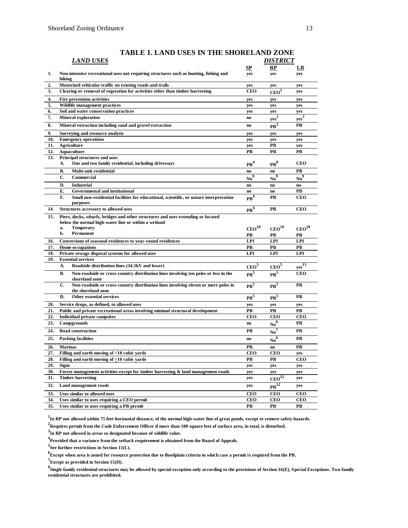|            | <b>LAND USES</b>                                                                                              |                   | <u>DISTRICT</u>                             |                   |
|------------|---------------------------------------------------------------------------------------------------------------|-------------------|---------------------------------------------|-------------------|
| 1.         | Non-intensive recreational uses not requiring structures such as hunting, fishing and<br>hiking               | SP<br>yes         | RP<br>yes                                   | LR<br>yes         |
| 2.         | Motorized vehicular traffic on existing roads and trails                                                      | yes               | yes                                         | yes               |
| 3.         | Clearing or removal of vegetation for activities other than timber harvesting                                 | <b>CEO</b>        | CEO <sup>1</sup>                            | yes               |
| 4.         | <b>Fire prevention activities</b>                                                                             | yes               | yes                                         | yes               |
| 5.         | Wildlife management practices                                                                                 | yes               | yes                                         | yes               |
| 6.         | Soil and water conservation practices                                                                         | yes               | yes                                         | yes               |
| 7.         | <b>Mineral exploration</b>                                                                                    | no                | $\mathrm{yes}^2$                            | ${\rm yes}^2$     |
| 8.         | Mineral extraction including sand and gravel extraction                                                       | no                | $PB$ <sup>3</sup>                           | PВ                |
| 9.         | Surveying and resource analysis                                                                               | yes               | yes                                         | yes               |
| 10.        | <b>Emergency operations</b>                                                                                   | yes               | yes                                         | yes               |
| 11.        | <b>Agriculture</b>                                                                                            | yes               | <b>PB</b>                                   | yes               |
| 12.        | <b>Aquaculture</b>                                                                                            | PB                | PВ                                          | PВ                |
| 13.        | Principal structures and uses<br>One and two family residential, including driveways<br>А.                    | PB <sup>4</sup>   | $PR^8$                                      | <b>CEO</b>        |
|            | Multi-unit residential<br>В.                                                                                  | no                | no.                                         | PB                |
|            | C.<br>Commercial                                                                                              | No <sup>9</sup>   | No <sup>9</sup>                             | $N_0^9$           |
|            | D.<br><b>Industrial</b>                                                                                       | no                | $\mathbf{n}\mathbf{o}$                      | no                |
|            | E.<br>Governmental and institutional                                                                          | no                | $\mathbf{n}\mathbf{o}$                      | PВ                |
|            | F.<br>Small non-residential facilities for educational, scientific, or nature interpretation<br>purposes      | PR <sup>4</sup>   | PB                                          | <b>CEO</b>        |
| 14.        | Structures accessory to allowed uses                                                                          | $\mathbf{PB}^4$   | PB                                          | <b>CEO</b>        |
| 15.        | Piers, docks, wharfs, bridges and other structures and uses extending or located                              |                   |                                             |                   |
|            | below the normal high-water line or within a wetland                                                          |                   |                                             |                   |
|            | <b>Temporary</b><br>a.<br>b.                                                                                  | CEO <sup>10</sup> | $\mathrm{ceo}^{10}$                         | CEO <sup>10</sup> |
|            | Permanent                                                                                                     | PВ                | PВ                                          | PВ                |
| 16.        | Conversions of seasonal residences to year-round residences                                                   | <b>LPI</b>        | <b>LPI</b>                                  | <b>LPI</b>        |
| 17.<br>18. | Home occupations<br>Private sewage disposal systems for allowed uses                                          | PB<br><b>LPI</b>  | <b>PB</b><br><b>LPI</b>                     | PB<br><b>LPI</b>  |
| 19.        | <b>Essential services</b>                                                                                     |                   |                                             |                   |
|            | Roadside distribution lines (34.5kV and lower)<br>А.                                                          | CEO <sup>5</sup>  | CEO <sup>5</sup>                            | $yes11$           |
|            | Non-roadside or cross-country distribution lines involving ten poles or less in the<br>В.<br>shoreland zone   | $\mathbf{PB}^5$   | $\mathbf{PB}^5$                             | <b>CEO</b>        |
|            | C.<br>Non-roadside or cross-country distribution lines involving eleven or more poles in                      | PR <sup>5</sup>   | PR <sup>5</sup>                             | PB                |
|            | the shoreland zone<br><b>Other essential services</b><br>D.                                                   | $PB^5$            | PR <sup>5</sup>                             | PВ                |
| 20.        | Service drops, as defined, to allowed uses                                                                    | yes               | yes                                         | yes               |
| 21.        | Public and private recreational areas involving minimal structural development                                | PВ                | PB                                          | PВ                |
| 22.        | <b>Individual private campsites</b>                                                                           | <b>CEO</b>        | <b>CEO</b>                                  | <b>CEO</b>        |
| 23.        | Campgrounds                                                                                                   | no                | No <sup>6</sup>                             | PB                |
| 24.        | <b>Road construction</b>                                                                                      | PВ                | $N_0^7$                                     | PB                |
| 25.        | <b>Parking facilities</b>                                                                                     | no                | No <sup>6</sup>                             | PВ                |
| 26.        | <b>Marinas</b>                                                                                                | PВ                | no                                          | PB                |
| 27.        | Filling and earth moving of <10 cubic vards                                                                   | <b>CEO</b>        | <b>CEO</b>                                  | yes               |
| 28.        | Filling and earth moving of >10 cubic vards                                                                   | PВ                | PB                                          | <b>CEO</b>        |
| 29.        | Signs                                                                                                         | yes               | yes                                         | yes               |
| 30.<br>31. | Forest management activities except for timber harvesting & land management roads<br><b>Timber harvesting</b> | yes               | yes                                         | yes               |
| 32.        | Land management roads                                                                                         | yes               | $CEO^{\overline{12}}$<br>$PB$ <sup>12</sup> | yes               |
| 33.        | <b>Uses similar to allowed uses</b>                                                                           | yes<br><b>CEO</b> |                                             | yes<br><b>CEO</b> |
| 34.        | Uses similar to uses requiring a CEO permit                                                                   | <b>CEO</b>        | <b>CEO</b><br><b>CEO</b>                    | <b>CEO</b>        |
| 35.        | Uses similar to uses requiring a PB permit                                                                    | PВ                | PВ                                          | PВ                |

# **TABLE 1. LAND USES IN THE SHORELAND ZONE**

**1 In RP not allowed within 75 feet horizontal distance, of the normal high-water line of great ponds, except to remove safety hazards.**

**2 Requires permit from the Code Enforcement Officer if more than 100 square feet of surface area, in total, is disturbed.**

**3 In RP not allowed in areas so designated because of wildlife value.**

**4 Provided that a variance from the setback requirement is obtained from the Board of Appeals.**

**5 See further restrictions in Section 15(L).**

**6 Except when area is zoned for resource protection due to floodplain criteria in which case a permit is required from the PB.**

**7 Except as provided in Section 15(H).**

**8 Single family residential structures may be allowed by special exception only according to the provisions of Section 16(E), Special Exceptions. Two-family residential structures are prohibited.**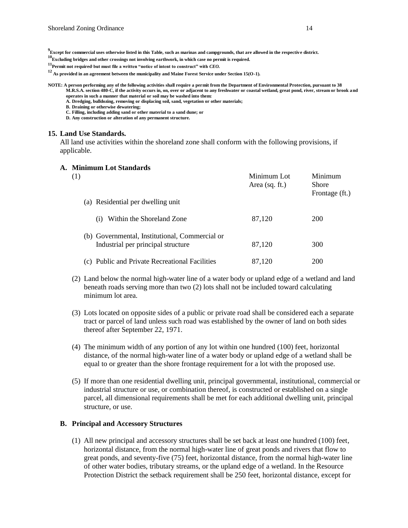- **9 Except for commercial uses otherwise listed in this Table, such as marinas and campgrounds, that are allowed in the respective district.**
- **10 Excluding bridges and other crossings not involving earthwork, in which case no permit is required.**
- **11 Permit not required, but must file a written "notice of intent to construct" with** *CEO.*
- **12 As provided in an agreement between the municipality and Maine Forest Service under Section 15(O-1)***.*
- **NOTE: A person performing any of the following activities shall require a permit from the Department of Environmental Protection, pursuant to 38 M.R.S.A. section 480-C, if the activity occurs in, on, over or adjacent to any freshwater or coastal wetland, great pond, river, stream or brook and** 
	- **operates in such a manner that material or soil may be washed into them: A. Dredging, bulldozing, removing or displacing soil, sand, vegetation or other materials;**
	- **B. Draining or otherwise dewatering;**
	- **C. Filling, including adding sand or other material to a sand dune; or**
	- **D. Any construction or alteration of any permanent structure.**

#### **15. Land Use Standards.**

All land use activities within the shoreland zone shall conform with the following provisions, if applicable.

#### **A. Minimum Lot Standards**

| (1)                                                                                  | Minimum Lot<br>Area (sq. ft.) | Minimum<br><b>Shore</b><br>Frontage (ft.) |
|--------------------------------------------------------------------------------------|-------------------------------|-------------------------------------------|
| (a) Residential per dwelling unit                                                    |                               |                                           |
| Within the Shoreland Zone<br>(i)                                                     | 87,120                        | <b>200</b>                                |
| (b) Governmental, Institutional, Commercial or<br>Industrial per principal structure | 87,120                        | 300                                       |
| (c) Public and Private Recreational Facilities                                       | 87,120                        | 200                                       |

- (2) Land below the normal high-water line of a water body or upland edge of a wetland and land beneath roads serving more than two (2) lots shall not be included toward calculating minimum lot area.
- (3) Lots located on opposite sides of a public or private road shall be considered each a separate tract or parcel of land unless such road was established by the owner of land on both sides thereof after September 22, 1971.
- (4) The minimum width of any portion of any lot within one hundred (100) feet, horizontal distance, of the normal high-water line of a water body or upland edge of a wetland shall be equal to or greater than the shore frontage requirement for a lot with the proposed use.
- (5) If more than one residential dwelling unit, principal governmental, institutional, commercial or industrial structure or use, or combination thereof, is constructed or established on a single parcel, all dimensional requirements shall be met for each additional dwelling unit, principal structure, or use.

#### **B. Principal and Accessory Structures**

(1) All new principal and accessory structures shall be set back at least one hundred (100) feet, horizontal distance, from the normal high-water line of great ponds and rivers that flow to great ponds, and seventy-five (75) feet, horizontal distance, from the normal high-water line of other water bodies, tributary streams, or the upland edge of a wetland. In the Resource Protection District the setback requirement shall be 250 feet, horizontal distance, except for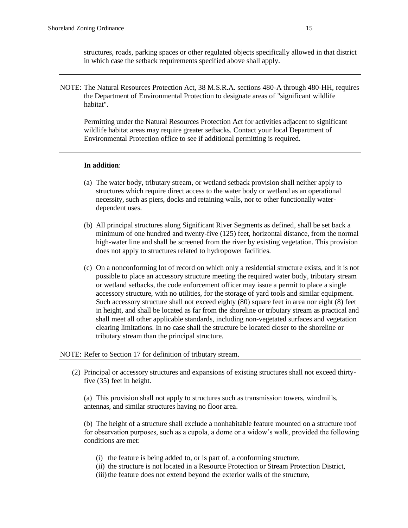structures, roads, parking spaces or other regulated objects specifically allowed in that district in which case the setback requirements specified above shall apply.

NOTE: The Natural Resources Protection Act, 38 M.S.R.A. sections 480-A through 480-HH, requires the Department of Environmental Protection to designate areas of "significant wildlife habitat".

Permitting under the Natural Resources Protection Act for activities adjacent to significant wildlife habitat areas may require greater setbacks. Contact your local Department of Environmental Protection office to see if additional permitting is required.

#### **In addition**:

- (a) The water body, tributary stream, or wetland setback provision shall neither apply to structures which require direct access to the water body or wetland as an operational necessity, such as piers, docks and retaining walls, nor to other functionally waterdependent uses.
- (b) All principal structures along Significant River Segments as defined, shall be set back a minimum of one hundred and twenty-five (125) feet, horizontal distance, from the normal high-water line and shall be screened from the river by existing vegetation. This provision does not apply to structures related to hydropower facilities.
- (c) On a nonconforming lot of record on which only a residential structure exists, and it is not possible to place an accessory structure meeting the required water body, tributary stream or wetland setbacks, the code enforcement officer may issue a permit to place a single accessory structure, with no utilities, for the storage of yard tools and similar equipment. Such accessory structure shall not exceed eighty (80) square feet in area nor eight (8) feet in height, and shall be located as far from the shoreline or tributary stream as practical and shall meet all other applicable standards, including non-vegetated surfaces and vegetation clearing limitations. In no case shall the structure be located closer to the shoreline or tributary stream than the principal structure.

#### NOTE: Refer to Section 17 for definition of tributary stream.

(2) Principal or accessory structures and expansions of existing structures shall not exceed thirtyfive (35) feet in height.

(a) This provision shall not apply to structures such as transmission towers, windmills, antennas, and similar structures having no floor area.

(b) The height of a structure shall exclude a nonhabitable feature mounted on a structure roof for observation purposes, such as a cupola, a dome or a widow's walk, provided the following conditions are met:

- (i) the feature is being added to, or is part of, a conforming structure,
- (ii) the structure is not located in a Resource Protection or Stream Protection District,
- (iii) the feature does not extend beyond the exterior walls of the structure,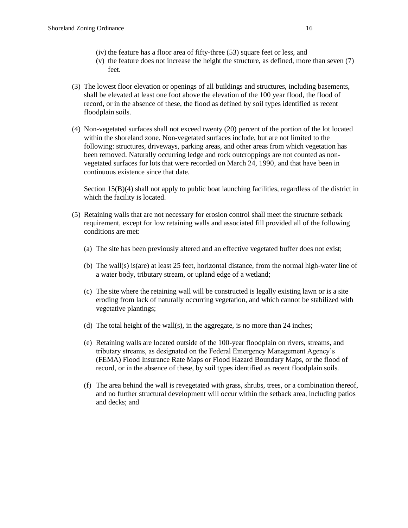- (iv) the feature has a floor area of fifty-three (53) square feet or less, and
- (v) the feature does not increase the height the structure, as defined, more than seven (7) feet.
- (3) The lowest floor elevation or openings of all buildings and structures, including basements, shall be elevated at least one foot above the elevation of the 100 year flood, the flood of record, or in the absence of these, the flood as defined by soil types identified as recent floodplain soils.
- (4) Non-vegetated surfaces shall not exceed twenty (20) percent of the portion of the lot located within the shoreland zone. Non-vegetated surfaces include, but are not limited to the following: structures, driveways, parking areas, and other areas from which vegetation has been removed. Naturally occurring ledge and rock outcroppings are not counted as nonvegetated surfaces for lots that were recorded on March 24, 1990, and that have been in continuous existence since that date.

Section 15(B)(4) shall not apply to public boat launching facilities, regardless of the district in which the facility is located.

- (5) Retaining walls that are not necessary for erosion control shall meet the structure setback requirement, except for low retaining walls and associated fill provided all of the following conditions are met:
	- (a) The site has been previously altered and an effective vegetated buffer does not exist;
	- (b) The wall(s) is(are) at least 25 feet, horizontal distance, from the normal high-water line of a water body, tributary stream, or upland edge of a wetland;
	- (c) The site where the retaining wall will be constructed is legally existing lawn or is a site eroding from lack of naturally occurring vegetation, and which cannot be stabilized with vegetative plantings;
	- (d) The total height of the wall(s), in the aggregate, is no more than  $24$  inches;
	- (e) Retaining walls are located outside of the 100-year floodplain on rivers, streams, and tributary streams, as designated on the Federal Emergency Management Agency's (FEMA) Flood Insurance Rate Maps or Flood Hazard Boundary Maps, or the flood of record, or in the absence of these, by soil types identified as recent floodplain soils.
	- (f) The area behind the wall is revegetated with grass, shrubs, trees, or a combination thereof, and no further structural development will occur within the setback area, including patios and decks; and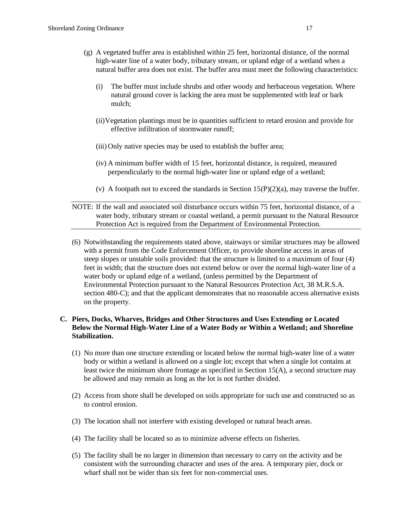- (g) A vegetated buffer area is established within 25 feet, horizontal distance, of the normal high-water line of a water body, tributary stream, or upland edge of a wetland when a natural buffer area does not exist. The buffer area must meet the following characteristics:
	- (i) The buffer must include shrubs and other woody and herbaceous vegetation. Where natural ground cover is lacking the area must be supplemented with leaf or bark mulch;
	- (ii)Vegetation plantings must be in quantities sufficient to retard erosion and provide for effective infiltration of stormwater runoff;
	- (iii) Only native species may be used to establish the buffer area;
	- (iv) A minimum buffer width of 15 feet, horizontal distance, is required, measured perpendicularly to the normal high-water line or upland edge of a wetland;
	- (v) A footpath not to exceed the standards in Section  $15(P)(2)(a)$ , may traverse the buffer.

NOTE: If the wall and associated soil disturbance occurs within 75 feet, horizontal distance, of a water body, tributary stream or coastal wetland, a permit pursuant to the Natural Resource Protection Act is required from the Department of Environmental Protection.

(6) Notwithstanding the requirements stated above, stairways or similar structures may be allowed with a permit from the Code Enforcement Officer, to provide shoreline access in areas of steep slopes or unstable soils provided: that the structure is limited to a maximum of four (4) feet in width; that the structure does not extend below or over the normal high-water line of a water body or upland edge of a wetland, (unless permitted by the Department of Environmental Protection pursuant to the Natural Resources Protection Act, 38 M.R.S.A. section 480-C); and that the applicant demonstrates that no reasonable access alternative exists on the property.

## **C. Piers, Docks, Wharves, Bridges and Other Structures and Uses Extending or Located Below the Normal High-Water Line of a Water Body or Within a Wetland; and Shoreline Stabilization.**

- (1) No more than one structure extending or located below the normal high-water line of a water body or within a wetland is allowed on a single lot; except that when a single lot contains at least twice the minimum shore frontage as specified in Section 15(A), a second structure may be allowed and may remain as long as the lot is not further divided.
- (2) Access from shore shall be developed on soils appropriate for such use and constructed so as to control erosion.
- (3) The location shall not interfere with existing developed or natural beach areas.
- (4) The facility shall be located so as to minimize adverse effects on fisheries.
- (5) The facility shall be no larger in dimension than necessary to carry on the activity and be consistent with the surrounding character and uses of the area. A temporary pier, dock or wharf shall not be wider than six feet for non-commercial uses.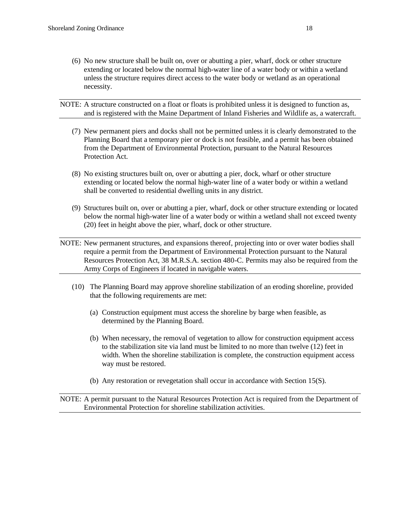- (6) No new structure shall be built on, over or abutting a pier, wharf, dock or other structure extending or located below the normal high-water line of a water body or within a wetland unless the structure requires direct access to the water body or wetland as an operational necessity.
- NOTE: A structure constructed on a float or floats is prohibited unless it is designed to function as, and is registered with the Maine Department of Inland Fisheries and Wildlife as, a watercraft.
	- (7) New permanent piers and docks shall not be permitted unless it is clearly demonstrated to the Planning Board that a temporary pier or dock is not feasible, and a permit has been obtained from the Department of Environmental Protection, pursuant to the Natural Resources Protection Act.
	- (8) No existing structures built on, over or abutting a pier, dock, wharf or other structure extending or located below the normal high-water line of a water body or within a wetland shall be converted to residential dwelling units in any district.
	- (9) Structures built on, over or abutting a pier, wharf, dock or other structure extending or located below the normal high-water line of a water body or within a wetland shall not exceed twenty (20) feet in height above the pier, wharf, dock or other structure.

NOTE: New permanent structures, and expansions thereof, projecting into or over water bodies shall require a permit from the Department of Environmental Protection pursuant to the Natural Resources Protection Act, 38 M.R.S.A. section 480-C. Permits may also be required from the Army Corps of Engineers if located in navigable waters.

- (10) The Planning Board may approve shoreline stabilization of an eroding shoreline, provided that the following requirements are met:
	- (a) Construction equipment must access the shoreline by barge when feasible, as determined by the Planning Board.
	- (b) When necessary, the removal of vegetation to allow for construction equipment access to the stabilization site via land must be limited to no more than twelve (12) feet in width. When the shoreline stabilization is complete, the construction equipment access way must be restored.
	- (b) Any restoration or revegetation shall occur in accordance with Section 15(S).

NOTE: A permit pursuant to the Natural Resources Protection Act is required from the Department of Environmental Protection for shoreline stabilization activities.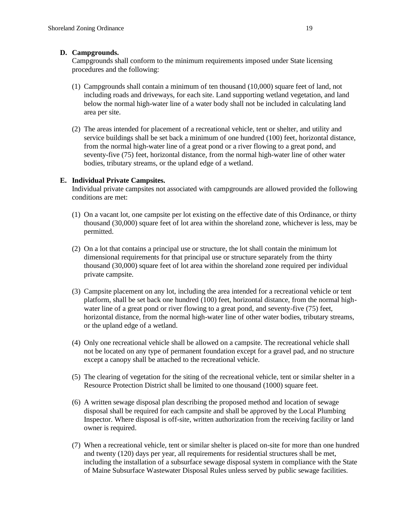## **D. Campgrounds.**

Campgrounds shall conform to the minimum requirements imposed under State licensing procedures and the following:

- (1) Campgrounds shall contain a minimum of ten thousand (10,000) square feet of land, not including roads and driveways, for each site. Land supporting wetland vegetation, and land below the normal high-water line of a water body shall not be included in calculating land area per site.
- (2) The areas intended for placement of a recreational vehicle, tent or shelter, and utility and service buildings shall be set back a minimum of one hundred (100) feet, horizontal distance, from the normal high-water line of a great pond or a river flowing to a great pond, and seventy-five (75) feet, horizontal distance, from the normal high-water line of other water bodies, tributary streams, or the upland edge of a wetland.

# **E. Individual Private Campsites.**

Individual private campsites not associated with campgrounds are allowed provided the following conditions are met:

- (1) On a vacant lot, one campsite per lot existing on the effective date of this Ordinance, or thirty thousand (30,000) square feet of lot area within the shoreland zone, whichever is less, may be permitted.
- (2) On a lot that contains a principal use or structure, the lot shall contain the minimum lot dimensional requirements for that principal use or structure separately from the thirty thousand (30,000) square feet of lot area within the shoreland zone required per individual private campsite.
- (3) Campsite placement on any lot, including the area intended for a recreational vehicle or tent platform, shall be set back one hundred (100) feet, horizontal distance, from the normal highwater line of a great pond or river flowing to a great pond, and seventy-five (75) feet, horizontal distance, from the normal high-water line of other water bodies, tributary streams, or the upland edge of a wetland.
- (4) Only one recreational vehicle shall be allowed on a campsite. The recreational vehicle shall not be located on any type of permanent foundation except for a gravel pad, and no structure except a canopy shall be attached to the recreational vehicle.
- (5) The clearing of vegetation for the siting of the recreational vehicle, tent or similar shelter in a Resource Protection District shall be limited to one thousand (1000) square feet.
- (6) A written sewage disposal plan describing the proposed method and location of sewage disposal shall be required for each campsite and shall be approved by the Local Plumbing Inspector. Where disposal is off-site, written authorization from the receiving facility or land owner is required.
- (7) When a recreational vehicle, tent or similar shelter is placed on-site for more than one hundred and twenty (120) days per year, all requirements for residential structures shall be met, including the installation of a subsurface sewage disposal system in compliance with the State of Maine Subsurface Wastewater Disposal Rules unless served by public sewage facilities.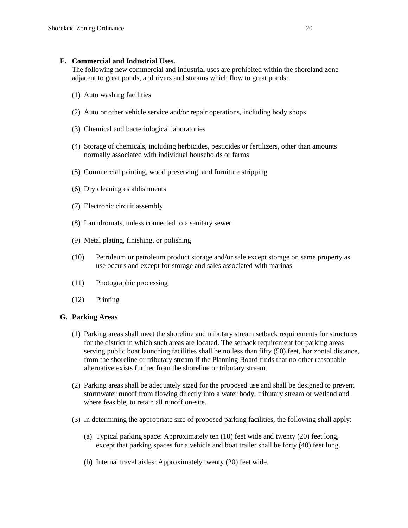#### **F. Commercial and Industrial Uses.**

The following new commercial and industrial uses are prohibited within the shoreland zone adjacent to great ponds, and rivers and streams which flow to great ponds:

- (1) Auto washing facilities
- (2) Auto or other vehicle service and/or repair operations, including body shops
- (3) Chemical and bacteriological laboratories
- (4) Storage of chemicals, including herbicides, pesticides or fertilizers, other than amounts normally associated with individual households or farms
- (5) Commercial painting, wood preserving, and furniture stripping
- (6) Dry cleaning establishments
- (7) Electronic circuit assembly
- (8) Laundromats, unless connected to a sanitary sewer
- (9) Metal plating, finishing, or polishing
- (10) Petroleum or petroleum product storage and/or sale except storage on same property as use occurs and except for storage and sales associated with marinas
- (11) Photographic processing
- (12) Printing

## **G. Parking Areas**

- (1) Parking areas shall meet the shoreline and tributary stream setback requirements for structures for the district in which such areas are located. The setback requirement for parking areas serving public boat launching facilities shall be no less than fifty (50) feet, horizontal distance, from the shoreline or tributary stream if the Planning Board finds that no other reasonable alternative exists further from the shoreline or tributary stream.
- (2) Parking areas shall be adequately sized for the proposed use and shall be designed to prevent stormwater runoff from flowing directly into a water body, tributary stream or wetland and where feasible, to retain all runoff on-site.
- (3) In determining the appropriate size of proposed parking facilities, the following shall apply:
	- (a) Typical parking space: Approximately ten (10) feet wide and twenty (20) feet long, except that parking spaces for a vehicle and boat trailer shall be forty (40) feet long.
	- (b) Internal travel aisles: Approximately twenty (20) feet wide.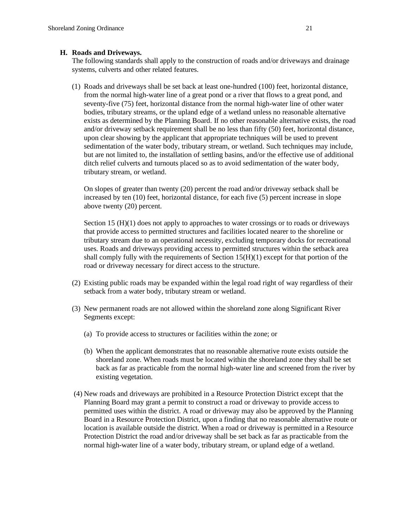## **H. Roads and Driveways.**

The following standards shall apply to the construction of roads and/or driveways and drainage systems, culverts and other related features.

(1) Roads and driveways shall be set back at least one-hundred (100) feet, horizontal distance, from the normal high-water line of a great pond or a river that flows to a great pond, and seventy-five (75) feet, horizontal distance from the normal high-water line of other water bodies, tributary streams, or the upland edge of a wetland unless no reasonable alternative exists as determined by the Planning Board. If no other reasonable alternative exists, the road and/or driveway setback requirement shall be no less than fifty (50) feet, horizontal distance, upon clear showing by the applicant that appropriate techniques will be used to prevent sedimentation of the water body, tributary stream, or wetland. Such techniques may include, but are not limited to, the installation of settling basins, and/or the effective use of additional ditch relief culverts and turnouts placed so as to avoid sedimentation of the water body, tributary stream, or wetland.

On slopes of greater than twenty (20) percent the road and/or driveway setback shall be increased by ten (10) feet, horizontal distance, for each five (5) percent increase in slope above twenty (20) percent.

Section 15 (H)(1) does not apply to approaches to water crossings or to roads or driveways that provide access to permitted structures and facilities located nearer to the shoreline or tributary stream due to an operational necessity, excluding temporary docks for recreational uses. Roads and driveways providing access to permitted structures within the setback area shall comply fully with the requirements of Section  $15(H)(1)$  except for that portion of the road or driveway necessary for direct access to the structure.

- (2) Existing public roads may be expanded within the legal road right of way regardless of their setback from a water body, tributary stream or wetland.
- (3) New permanent roads are not allowed within the shoreland zone along Significant River Segments except:
	- (a) To provide access to structures or facilities within the zone; or
	- (b) When the applicant demonstrates that no reasonable alternative route exists outside the shoreland zone. When roads must be located within the shoreland zone they shall be set back as far as practicable from the normal high-water line and screened from the river by existing vegetation.
- (4) New roads and driveways are prohibited in a Resource Protection District except that the Planning Board may grant a permit to construct a road or driveway to provide access to permitted uses within the district. A road or driveway may also be approved by the Planning Board in a Resource Protection District, upon a finding that no reasonable alternative route or location is available outside the district. When a road or driveway is permitted in a Resource Protection District the road and/or driveway shall be set back as far as practicable from the normal high-water line of a water body, tributary stream, or upland edge of a wetland.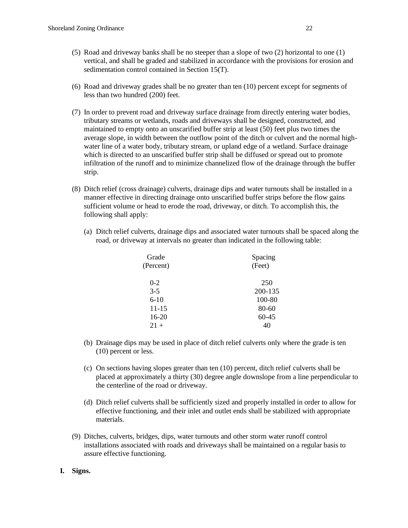- (5) Road and driveway banks shall be no steeper than a slope of two (2) horizontal to one (1) vertical, and shall be graded and stabilized in accordance with the provisions for erosion and sedimentation control contained in Section 15(T).
- (6) Road and driveway grades shall be no greater than ten (10) percent except for segments of less than two hundred (200) feet.
- (7) In order to prevent road and driveway surface drainage from directly entering water bodies, tributary streams or wetlands, roads and driveways shall be designed, constructed, and maintained to empty onto an unscarified buffer strip at least (50) feet plus two times the average slope, in width between the outflow point of the ditch or culvert and the normal highwater line of a water body, tributary stream, or upland edge of a wetland. Surface drainage which is directed to an unscarified buffer strip shall be diffused or spread out to promote infiltration of the runoff and to minimize channelized flow of the drainage through the buffer strip.
- (8) Ditch relief (cross drainage) culverts, drainage dips and water turnouts shall be installed in a manner effective in directing drainage onto unscarified buffer strips before the flow gains sufficient volume or head to erode the road, driveway, or ditch. To accomplish this, the following shall apply:
	- (a) Ditch relief culverts, drainage dips and associated water turnouts shall be spaced along the road, or driveway at intervals no greater than indicated in the following table:

| Grade     | Spacing   |
|-----------|-----------|
| (Percent) | (Feet)    |
| $0 - 2$   | 250       |
| $3 - 5$   | 200-135   |
| $6-10$    | 100-80    |
| $11 - 15$ | $80 - 60$ |
| $16-20$   | 60-45     |
| $21+$     | 40        |
|           |           |

- (b) Drainage dips may be used in place of ditch relief culverts only where the grade is ten (10) percent or less.
- (c) On sections having slopes greater than ten (10) percent, ditch relief culverts shall be placed at approximately a thirty (30) degree angle downslope from a line perpendicular to the centerline of the road or driveway.
- (d) Ditch relief culverts shall be sufficiently sized and properly installed in order to allow for effective functioning, and their inlet and outlet ends shall be stabilized with appropriate materials.
- (9) Ditches, culverts, bridges, dips, water turnouts and other storm water runoff control installations associated with roads and driveways shall be maintained on a regular basis to assure effective functioning.
- **I. Signs.**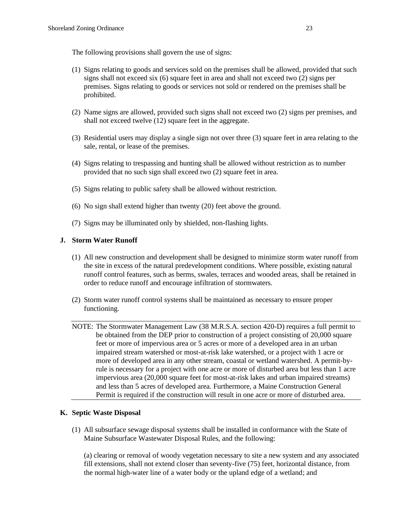The following provisions shall govern the use of signs:

- (1) Signs relating to goods and services sold on the premises shall be allowed, provided that such signs shall not exceed six (6) square feet in area and shall not exceed two (2) signs per premises. Signs relating to goods or services not sold or rendered on the premises shall be prohibited.
- (2) Name signs are allowed, provided such signs shall not exceed two (2) signs per premises, and shall not exceed twelve (12) square feet in the aggregate.
- (3) Residential users may display a single sign not over three (3) square feet in area relating to the sale, rental, or lease of the premises.
- (4) Signs relating to trespassing and hunting shall be allowed without restriction as to number provided that no such sign shall exceed two (2) square feet in area.
- (5) Signs relating to public safety shall be allowed without restriction.
- (6) No sign shall extend higher than twenty (20) feet above the ground.
- (7) Signs may be illuminated only by shielded, non-flashing lights.

#### **J. Storm Water Runoff**

- (1) All new construction and development shall be designed to minimize storm water runoff from the site in excess of the natural predevelopment conditions. Where possible, existing natural runoff control features, such as berms, swales, terraces and wooded areas, shall be retained in order to reduce runoff and encourage infiltration of stormwaters.
- (2) Storm water runoff control systems shall be maintained as necessary to ensure proper functioning.
- NOTE: The Stormwater Management Law (38 M.R.S.A. section 420-D) requires a full permit to be obtained from the DEP prior to construction of a project consisting of 20,000 square feet or more of impervious area or 5 acres or more of a developed area in an urban impaired stream watershed or most-at-risk lake watershed, or a project with 1 acre or more of developed area in any other stream, coastal or wetland watershed. A permit-byrule is necessary for a project with one acre or more of disturbed area but less than 1 acre impervious area (20,000 square feet for most-at-risk lakes and urban impaired streams) and less than 5 acres of developed area. Furthermore, a Maine Construction General Permit is required if the construction will result in one acre or more of disturbed area.

#### **K. Septic Waste Disposal**

(1) All subsurface sewage disposal systems shall be installed in conformance with the State of Maine Subsurface Wastewater Disposal Rules, and the following:

(a) clearing or removal of woody vegetation necessary to site a new system and any associated fill extensions, shall not extend closer than seventy-five (75) feet, horizontal distance, from the normal high-water line of a water body or the upland edge of a wetland; and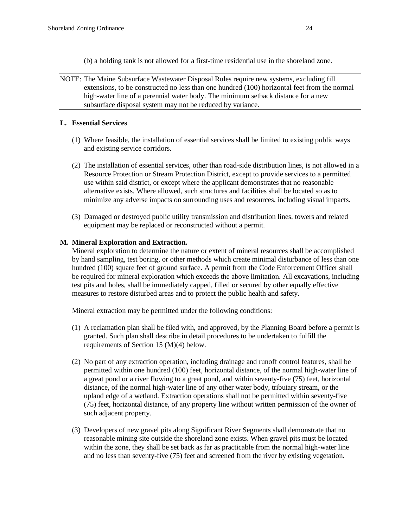- (b) a holding tank is not allowed for a first-time residential use in the shoreland zone.
- NOTE: The Maine Subsurface Wastewater Disposal Rules require new systems, excluding fill extensions, to be constructed no less than one hundred (100) horizontal feet from the normal high-water line of a perennial water body. The minimum setback distance for a new subsurface disposal system may not be reduced by variance.

# **L. Essential Services**

- (1) Where feasible, the installation of essential services shall be limited to existing public ways and existing service corridors.
- (2) The installation of essential services, other than road-side distribution lines, is not allowed in a Resource Protection or Stream Protection District, except to provide services to a permitted use within said district, or except where the applicant demonstrates that no reasonable alternative exists. Where allowed, such structures and facilities shall be located so as to minimize any adverse impacts on surrounding uses and resources, including visual impacts.
- (3) Damaged or destroyed public utility transmission and distribution lines, towers and related equipment may be replaced or reconstructed without a permit.

# **M. Mineral Exploration and Extraction.**

Mineral exploration to determine the nature or extent of mineral resources shall be accomplished by hand sampling, test boring, or other methods which create minimal disturbance of less than one hundred (100) square feet of ground surface. A permit from the Code Enforcement Officer shall be required for mineral exploration which exceeds the above limitation. All excavations, including test pits and holes, shall be immediately capped, filled or secured by other equally effective measures to restore disturbed areas and to protect the public health and safety.

Mineral extraction may be permitted under the following conditions:

- (1) A reclamation plan shall be filed with, and approved, by the Planning Board before a permit is granted. Such plan shall describe in detail procedures to be undertaken to fulfill the requirements of Section 15 (M)(4) below.
- (2) No part of any extraction operation, including drainage and runoff control features, shall be permitted within one hundred (100) feet, horizontal distance, of the normal high-water line of a great pond or a river flowing to a great pond, and within seventy-five (75) feet, horizontal distance, of the normal high-water line of any other water body, tributary stream, or the upland edge of a wetland. Extraction operations shall not be permitted within seventy-five (75) feet, horizontal distance, of any property line without written permission of the owner of such adjacent property.
- (3) Developers of new gravel pits along Significant River Segments shall demonstrate that no reasonable mining site outside the shoreland zone exists. When gravel pits must be located within the zone, they shall be set back as far as practicable from the normal high-water line and no less than seventy-five (75) feet and screened from the river by existing vegetation.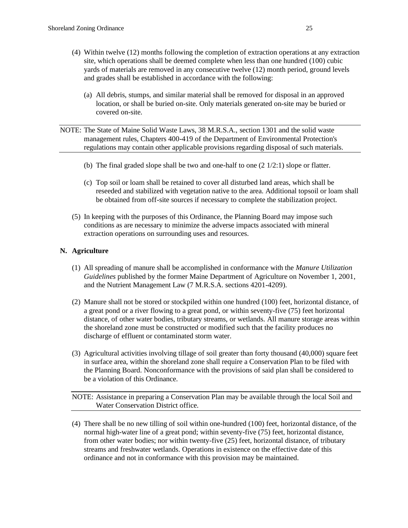- (4) Within twelve (12) months following the completion of extraction operations at any extraction site, which operations shall be deemed complete when less than one hundred (100) cubic yards of materials are removed in any consecutive twelve (12) month period, ground levels and grades shall be established in accordance with the following:
	- (a) All debris, stumps, and similar material shall be removed for disposal in an approved location, or shall be buried on-site. Only materials generated on-site may be buried or covered on-site.
- NOTE: The State of Maine Solid Waste Laws, 38 M.R.S.A., section 1301 and the solid waste management rules, Chapters 400-419 of the Department of Environmental Protection's regulations may contain other applicable provisions regarding disposal of such materials.
	- (b) The final graded slope shall be two and one-half to one  $(2 \frac{1}{2:1})$  slope or flatter.
	- (c) Top soil or loam shall be retained to cover all disturbed land areas, which shall be reseeded and stabilized with vegetation native to the area. Additional topsoil or loam shall be obtained from off-site sources if necessary to complete the stabilization project.
	- (5) In keeping with the purposes of this Ordinance, the Planning Board may impose such conditions as are necessary to minimize the adverse impacts associated with mineral extraction operations on surrounding uses and resources.

# **N. Agriculture**

- (1) All spreading of manure shall be accomplished in conformance with the *Manure Utilization Guidelines* published by the former Maine Department of Agriculture on November 1, 2001, and the Nutrient Management Law (7 M.R.S.A. sections 4201-4209).
- (2) Manure shall not be stored or stockpiled within one hundred (100) feet, horizontal distance, of a great pond or a river flowing to a great pond, or within seventy-five (75) feet horizontal distance, of other water bodies, tributary streams, or wetlands. All manure storage areas within the shoreland zone must be constructed or modified such that the facility produces no discharge of effluent or contaminated storm water.
- (3) Agricultural activities involving tillage of soil greater than forty thousand (40,000) square feet in surface area, within the shoreland zone shall require a Conservation Plan to be filed with the Planning Board. Nonconformance with the provisions of said plan shall be considered to be a violation of this Ordinance.

NOTE: Assistance in preparing a Conservation Plan may be available through the local Soil and Water Conservation District office.

(4) There shall be no new tilling of soil within one-hundred (100) feet, horizontal distance, of the normal high-water line of a great pond; within seventy-five (75) feet, horizontal distance, from other water bodies; nor within twenty-five (25) feet, horizontal distance, of tributary streams and freshwater wetlands. Operations in existence on the effective date of this ordinance and not in conformance with this provision may be maintained.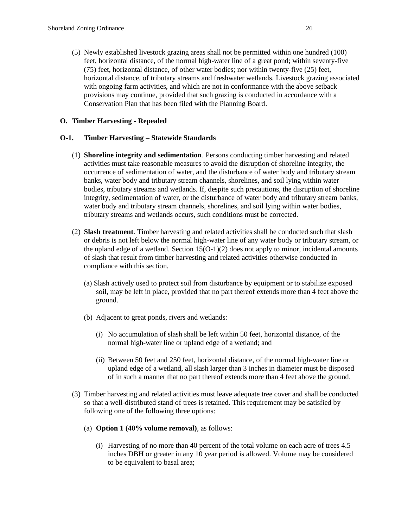(5) Newly established livestock grazing areas shall not be permitted within one hundred (100) feet, horizontal distance, of the normal high-water line of a great pond; within seventy-five (75) feet, horizontal distance, of other water bodies; nor within twenty-five (25) feet, horizontal distance, of tributary streams and freshwater wetlands. Livestock grazing associated with ongoing farm activities, and which are not in conformance with the above setback provisions may continue, provided that such grazing is conducted in accordance with a Conservation Plan that has been filed with the Planning Board.

## **O. Timber Harvesting - Repealed**

## **O-1. Timber Harvesting – Statewide Standards**

- (1) **Shoreline integrity and sedimentation**. Persons conducting timber harvesting and related activities must take reasonable measures to avoid the disruption of shoreline integrity, the occurrence of sedimentation of water, and the disturbance of water body and tributary stream banks, water body and tributary stream channels, shorelines, and soil lying within water bodies, tributary streams and wetlands. If, despite such precautions, the disruption of shoreline integrity, sedimentation of water, or the disturbance of water body and tributary stream banks, water body and tributary stream channels, shorelines, and soil lying within water bodies, tributary streams and wetlands occurs, such conditions must be corrected.
- (2) **Slash treatment**. Timber harvesting and related activities shall be conducted such that slash or debris is not left below the normal high-water line of any water body or tributary stream, or the upland edge of a wetland. Section 15(O-1)(2) does not apply to minor, incidental amounts of slash that result from timber harvesting and related activities otherwise conducted in compliance with this section.
	- (a) Slash actively used to protect soil from disturbance by equipment or to stabilize exposed soil, may be left in place, provided that no part thereof extends more than 4 feet above the ground.
	- (b) Adjacent to great ponds, rivers and wetlands:
		- (i) No accumulation of slash shall be left within 50 feet, horizontal distance, of the normal high-water line or upland edge of a wetland; and
		- (ii) Between 50 feet and 250 feet, horizontal distance, of the normal high-water line or upland edge of a wetland, all slash larger than 3 inches in diameter must be disposed of in such a manner that no part thereof extends more than 4 feet above the ground.
- (3) Timber harvesting and related activities must leave adequate tree cover and shall be conducted so that a well-distributed stand of trees is retained. This requirement may be satisfied by following one of the following three options:
	- (a) **Option 1 (40% volume removal)**, as follows:
		- (i) Harvesting of no more than 40 percent of the total volume on each acre of trees 4.5 inches DBH or greater in any 10 year period is allowed. Volume may be considered to be equivalent to basal area;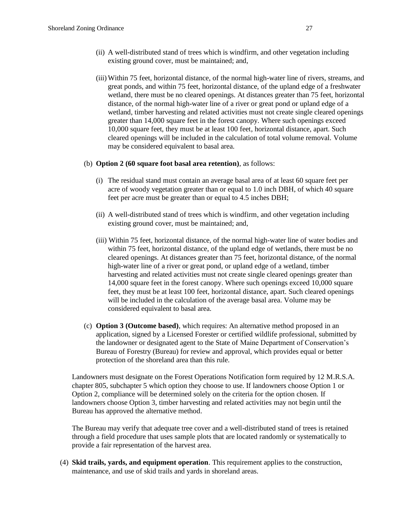- (ii) A well-distributed stand of trees which is windfirm, and other vegetation including existing ground cover, must be maintained; and,
- (iii) Within 75 feet, horizontal distance, of the normal high-water line of rivers, streams, and great ponds, and within 75 feet, horizontal distance, of the upland edge of a freshwater wetland, there must be no cleared openings. At distances greater than 75 feet, horizontal distance, of the normal high-water line of a river or great pond or upland edge of a wetland, timber harvesting and related activities must not create single cleared openings greater than 14,000 square feet in the forest canopy. Where such openings exceed 10,000 square feet, they must be at least 100 feet, horizontal distance, apart. Such cleared openings will be included in the calculation of total volume removal. Volume may be considered equivalent to basal area.

#### (b) **Option 2 (60 square foot basal area retention)**, as follows:

- (i) The residual stand must contain an average basal area of at least 60 square feet per acre of woody vegetation greater than or equal to 1.0 inch DBH, of which 40 square feet per acre must be greater than or equal to 4.5 inches DBH;
- (ii) A well-distributed stand of trees which is windfirm, and other vegetation including existing ground cover, must be maintained; and,
- (iii) Within 75 feet, horizontal distance, of the normal high-water line of water bodies and within 75 feet, horizontal distance, of the upland edge of wetlands, there must be no cleared openings. At distances greater than 75 feet, horizontal distance, of the normal high-water line of a river or great pond, or upland edge of a wetland, timber harvesting and related activities must not create single cleared openings greater than 14,000 square feet in the forest canopy. Where such openings exceed 10,000 square feet, they must be at least 100 feet, horizontal distance, apart. Such cleared openings will be included in the calculation of the average basal area. Volume may be considered equivalent to basal area.
- (c) **Option 3 (Outcome based)**, which requires: An alternative method proposed in an application, signed by a Licensed Forester or certified wildlife professional, submitted by the landowner or designated agent to the State of Maine Department of Conservation's Bureau of Forestry (Bureau) for review and approval, which provides equal or better protection of the shoreland area than this rule.

Landowners must designate on the Forest Operations Notification form required by 12 M.R.S.A. chapter 805, subchapter 5 which option they choose to use. If landowners choose Option 1 or Option 2, compliance will be determined solely on the criteria for the option chosen. If landowners choose Option 3, timber harvesting and related activities may not begin until the Bureau has approved the alternative method.

The Bureau may verify that adequate tree cover and a well-distributed stand of trees is retained through a field procedure that uses sample plots that are located randomly or systematically to provide a fair representation of the harvest area.

(4) **Skid trails, yards, and equipment operation**. This requirement applies to the construction, maintenance, and use of skid trails and yards in shoreland areas.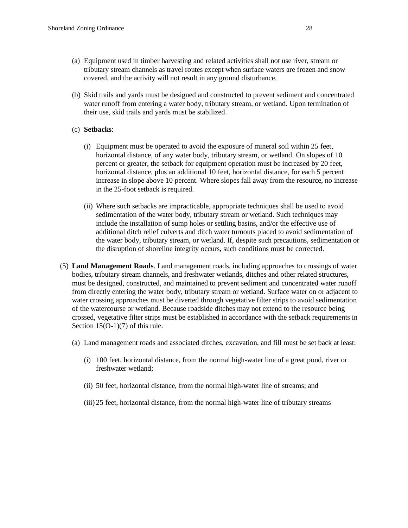- (a) Equipment used in timber harvesting and related activities shall not use river, stream or tributary stream channels as travel routes except when surface waters are frozen and snow covered, and the activity will not result in any ground disturbance.
- (b) Skid trails and yards must be designed and constructed to prevent sediment and concentrated water runoff from entering a water body, tributary stream, or wetland. Upon termination of their use, skid trails and yards must be stabilized.

## (c) **Setbacks**:

- (i) Equipment must be operated to avoid the exposure of mineral soil within 25 feet, horizontal distance, of any water body, tributary stream, or wetland. On slopes of 10 percent or greater, the setback for equipment operation must be increased by 20 feet, horizontal distance, plus an additional 10 feet, horizontal distance, for each 5 percent increase in slope above 10 percent. Where slopes fall away from the resource, no increase in the 25-foot setback is required.
- (ii) Where such setbacks are impracticable, appropriate techniques shall be used to avoid sedimentation of the water body, tributary stream or wetland. Such techniques may include the installation of sump holes or settling basins, and/or the effective use of additional ditch relief culverts and ditch water turnouts placed to avoid sedimentation of the water body, tributary stream, or wetland. If, despite such precautions, sedimentation or the disruption of shoreline integrity occurs, such conditions must be corrected.
- (5) **Land Management Roads**. Land management roads, including approaches to crossings of water bodies, tributary stream channels, and freshwater wetlands, ditches and other related structures, must be designed, constructed, and maintained to prevent sediment and concentrated water runoff from directly entering the water body, tributary stream or wetland. Surface water on or adjacent to water crossing approaches must be diverted through vegetative filter strips to avoid sedimentation of the watercourse or wetland. Because roadside ditches may not extend to the resource being crossed, vegetative filter strips must be established in accordance with the setback requirements in Section 15(O-1)(7) of this rule.
	- (a) Land management roads and associated ditches, excavation, and fill must be set back at least:
		- (i) 100 feet, horizontal distance, from the normal high-water line of a great pond, river or freshwater wetland;
		- (ii) 50 feet, horizontal distance, from the normal high-water line of streams; and
		- (iii) 25 feet, horizontal distance, from the normal high-water line of tributary streams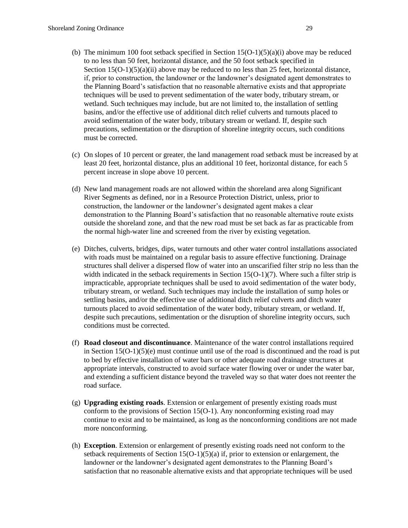- (b) The minimum 100 foot setback specified in Section  $15(O-1)(5)(a)(i)$  above may be reduced to no less than 50 feet, horizontal distance, and the 50 foot setback specified in Section 15(O-1)(5)(a)(ii) above may be reduced to no less than 25 feet, horizontal distance, if, prior to construction, the landowner or the landowner's designated agent demonstrates to the Planning Board's satisfaction that no reasonable alternative exists and that appropriate techniques will be used to prevent sedimentation of the water body, tributary stream, or wetland. Such techniques may include, but are not limited to, the installation of settling basins, and/or the effective use of additional ditch relief culverts and turnouts placed to avoid sedimentation of the water body, tributary stream or wetland. If, despite such precautions, sedimentation or the disruption of shoreline integrity occurs, such conditions must be corrected.
- (c) On slopes of 10 percent or greater, the land management road setback must be increased by at least 20 feet, horizontal distance, plus an additional 10 feet, horizontal distance, for each 5 percent increase in slope above 10 percent.
- (d) New land management roads are not allowed within the shoreland area along Significant River Segments as defined, nor in a Resource Protection District, unless, prior to construction, the landowner or the landowner's designated agent makes a clear demonstration to the Planning Board's satisfaction that no reasonable alternative route exists outside the shoreland zone, and that the new road must be set back as far as practicable from the normal high-water line and screened from the river by existing vegetation.
- (e) Ditches, culverts, bridges, dips, water turnouts and other water control installations associated with roads must be maintained on a regular basis to assure effective functioning. Drainage structures shall deliver a dispersed flow of water into an unscarified filter strip no less than the width indicated in the setback requirements in Section  $15(O-1)(7)$ . Where such a filter strip is impracticable, appropriate techniques shall be used to avoid sedimentation of the water body, tributary stream, or wetland. Such techniques may include the installation of sump holes or settling basins, and/or the effective use of additional ditch relief culverts and ditch water turnouts placed to avoid sedimentation of the water body, tributary stream, or wetland. If, despite such precautions, sedimentation or the disruption of shoreline integrity occurs, such conditions must be corrected.
- (f) **Road closeout and discontinuance**. Maintenance of the water control installations required in Section  $15(O-1)(5)(e)$  must continue until use of the road is discontinued and the road is put to bed by effective installation of water bars or other adequate road drainage structures at appropriate intervals, constructed to avoid surface water flowing over or under the water bar, and extending a sufficient distance beyond the traveled way so that water does not reenter the road surface.
- (g) **Upgrading existing roads**. Extension or enlargement of presently existing roads must conform to the provisions of Section  $15(O-1)$ . Any nonconforming existing road may continue to exist and to be maintained, as long as the nonconforming conditions are not made more nonconforming.
- (h) **Exception**. Extension or enlargement of presently existing roads need not conform to the setback requirements of Section  $15(O-1)(5)(a)$  if, prior to extension or enlargement, the landowner or the landowner's designated agent demonstrates to the Planning Board's satisfaction that no reasonable alternative exists and that appropriate techniques will be used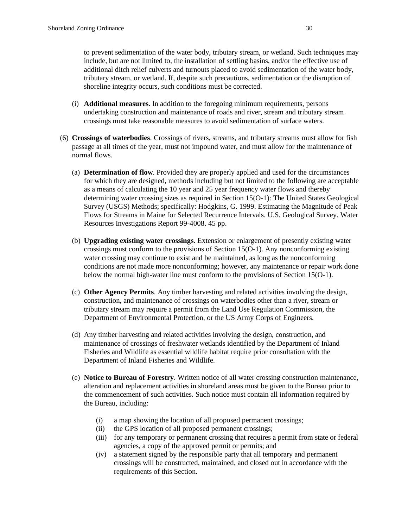to prevent sedimentation of the water body, tributary stream, or wetland. Such techniques may include, but are not limited to, the installation of settling basins, and/or the effective use of additional ditch relief culverts and turnouts placed to avoid sedimentation of the water body, tributary stream, or wetland. If, despite such precautions, sedimentation or the disruption of shoreline integrity occurs, such conditions must be corrected.

- (i) **Additional measures**. In addition to the foregoing minimum requirements, persons undertaking construction and maintenance of roads and river, stream and tributary stream crossings must take reasonable measures to avoid sedimentation of surface waters.
- (6) **Crossings of waterbodies**. Crossings of rivers, streams, and tributary streams must allow for fish passage at all times of the year, must not impound water, and must allow for the maintenance of normal flows.
	- (a) **Determination of flow**. Provided they are properly applied and used for the circumstances for which they are designed, methods including but not limited to the following are acceptable as a means of calculating the 10 year and 25 year frequency water flows and thereby determining water crossing sizes as required in Section 15(O-1): The United States Geological Survey (USGS) Methods; specifically: Hodgkins, G. 1999. Estimating the Magnitude of Peak Flows for Streams in Maine for Selected Recurrence Intervals. U.S. Geological Survey. Water Resources Investigations Report 99-4008. 45 pp.
	- (b) **Upgrading existing water crossings**. Extension or enlargement of presently existing water crossings must conform to the provisions of Section 15(O-1). Any nonconforming existing water crossing may continue to exist and be maintained, as long as the nonconforming conditions are not made more nonconforming; however, any maintenance or repair work done below the normal high-water line must conform to the provisions of Section 15(O-1).
	- (c) **Other Agency Permits**. Any timber harvesting and related activities involving the design, construction, and maintenance of crossings on waterbodies other than a river, stream or tributary stream may require a permit from the Land Use Regulation Commission, the Department of Environmental Protection, or the US Army Corps of Engineers.
	- (d) Any timber harvesting and related activities involving the design, construction, and maintenance of crossings of freshwater wetlands identified by the Department of Inland Fisheries and Wildlife as essential wildlife habitat require prior consultation with the Department of Inland Fisheries and Wildlife.
	- (e) **Notice to Bureau of Forestry**. Written notice of all water crossing construction maintenance, alteration and replacement activities in shoreland areas must be given to the Bureau prior to the commencement of such activities. Such notice must contain all information required by the Bureau, including:
		- (i) a map showing the location of all proposed permanent crossings;
		- (ii) the GPS location of all proposed permanent crossings;
		- (iii) for any temporary or permanent crossing that requires a permit from state or federal agencies, a copy of the approved permit or permits; and
		- (iv) a statement signed by the responsible party that all temporary and permanent crossings will be constructed, maintained, and closed out in accordance with the requirements of this Section.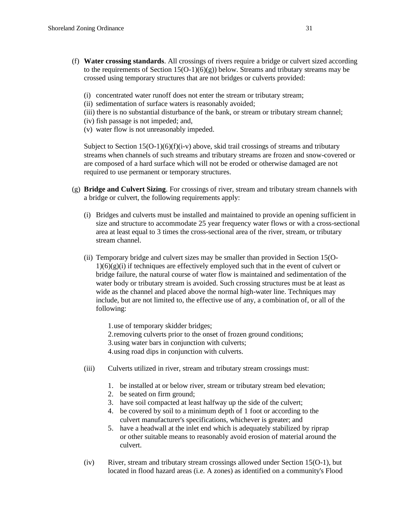- (f) **Water crossing standards**. All crossings of rivers require a bridge or culvert sized according to the requirements of Section  $15(O-1)(6)(g)$ ) below. Streams and tributary streams may be crossed using temporary structures that are not bridges or culverts provided:
	- (i) concentrated water runoff does not enter the stream or tributary stream;
	- (ii) sedimentation of surface waters is reasonably avoided;
	- (iii) there is no substantial disturbance of the bank, or stream or tributary stream channel;
	- (iv) fish passage is not impeded; and,
	- (v) water flow is not unreasonably impeded.

Subject to Section  $15(O-1)(6)(f)(i-v)$  above, skid trail crossings of streams and tributary streams when channels of such streams and tributary streams are frozen and snow-covered or are composed of a hard surface which will not be eroded or otherwise damaged are not required to use permanent or temporary structures.

- (g) **Bridge and Culvert Sizing**. For crossings of river, stream and tributary stream channels with a bridge or culvert, the following requirements apply:
	- (i) Bridges and culverts must be installed and maintained to provide an opening sufficient in size and structure to accommodate 25 year frequency water flows or with a cross-sectional area at least equal to 3 times the cross-sectional area of the river, stream, or tributary stream channel.
	- (ii) Temporary bridge and culvert sizes may be smaller than provided in Section 15(O- $1)(6)(g)(i)$  if techniques are effectively employed such that in the event of culvert or bridge failure, the natural course of water flow is maintained and sedimentation of the water body or tributary stream is avoided. Such crossing structures must be at least as wide as the channel and placed above the normal high-water line. Techniques may include, but are not limited to, the effective use of any, a combination of, or all of the following:

1.use of temporary skidder bridges; 2.removing culverts prior to the onset of frozen ground conditions; 3.using water bars in conjunction with culverts; 4.using road dips in conjunction with culverts.

- (iii) Culverts utilized in river, stream and tributary stream crossings must:
	- 1. be installed at or below river, stream or tributary stream bed elevation;
	- 2. be seated on firm ground;
	- 3. have soil compacted at least halfway up the side of the culvert;
	- 4. be covered by soil to a minimum depth of 1 foot or according to the culvert manufacturer's specifications, whichever is greater; and
	- 5. have a headwall at the inlet end which is adequately stabilized by riprap or other suitable means to reasonably avoid erosion of material around the culvert.
- (iv) River, stream and tributary stream crossings allowed under Section 15(O-1), but located in flood hazard areas (i.e. A zones) as identified on a community's Flood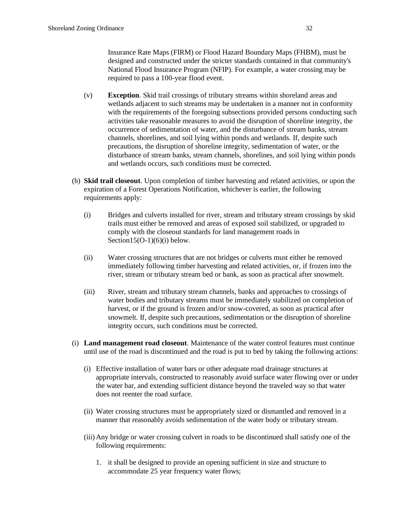Insurance Rate Maps (FIRM) or Flood Hazard Boundary Maps (FHBM), must be designed and constructed under the stricter standards contained in that community's National Flood Insurance Program (NFIP). For example, a water crossing may be required to pass a 100-year flood event.

- (v) **Exception**. Skid trail crossings of tributary streams within shoreland areas and wetlands adjacent to such streams may be undertaken in a manner not in conformity with the requirements of the foregoing subsections provided persons conducting such activities take reasonable measures to avoid the disruption of shoreline integrity, the occurrence of sedimentation of water, and the disturbance of stream banks, stream channels, shorelines, and soil lying within ponds and wetlands. If, despite such precautions, the disruption of shoreline integrity, sedimentation of water, or the disturbance of stream banks, stream channels, shorelines, and soil lying within ponds and wetlands occurs, such conditions must be corrected.
- (h) **Skid trail closeout**. Upon completion of timber harvesting and related activities, or upon the expiration of a Forest Operations Notification, whichever is earlier, the following requirements apply:
	- (i) Bridges and culverts installed for river, stream and tributary stream crossings by skid trails must either be removed and areas of exposed soil stabilized, or upgraded to comply with the closeout standards for land management roads in Section15(O-1) $(6)(i)$  below.
	- (ii) Water crossing structures that are not bridges or culverts must either be removed immediately following timber harvesting and related activities, or, if frozen into the river, stream or tributary stream bed or bank, as soon as practical after snowmelt.
	- (iii) River, stream and tributary stream channels, banks and approaches to crossings of water bodies and tributary streams must be immediately stabilized on completion of harvest, or if the ground is frozen and/or snow-covered, as soon as practical after snowmelt. If, despite such precautions, sedimentation or the disruption of shoreline integrity occurs, such conditions must be corrected.
- (i) **Land management road closeout**. Maintenance of the water control features must continue until use of the road is discontinued and the road is put to bed by taking the following actions:
	- (i) Effective installation of water bars or other adequate road drainage structures at appropriate intervals, constructed to reasonably avoid surface water flowing over or under the water bar, and extending sufficient distance beyond the traveled way so that water does not reenter the road surface.
	- (ii) Water crossing structures must be appropriately sized or dismantled and removed in a manner that reasonably avoids sedimentation of the water body or tributary stream.
	- (iii) Any bridge or water crossing culvert in roads to be discontinued shall satisfy one of the following requirements:
		- 1. it shall be designed to provide an opening sufficient in size and structure to accommodate 25 year frequency water flows;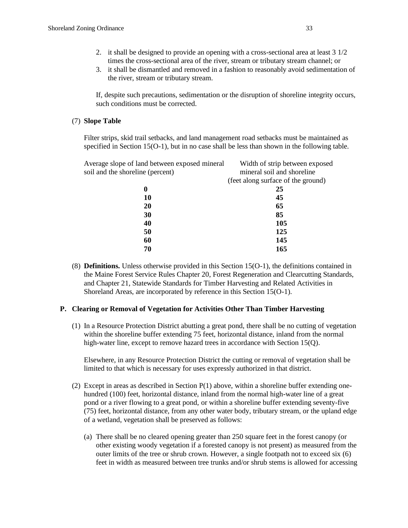- 2. it shall be designed to provide an opening with a cross-sectional area at least 3 1/2 times the cross-sectional area of the river, stream or tributary stream channel; or
- 3. it shall be dismantled and removed in a fashion to reasonably avoid sedimentation of the river, stream or tributary stream.

If, despite such precautions, sedimentation or the disruption of shoreline integrity occurs, such conditions must be corrected.

## (7) **Slope Table**

Filter strips, skid trail setbacks, and land management road setbacks must be maintained as specified in Section 15(O-1), but in no case shall be less than shown in the following table.

| Average slope of land between exposed mineral | Width of strip between exposed     |
|-----------------------------------------------|------------------------------------|
| soil and the shoreline (percent)              | mineral soil and shoreline         |
|                                               | (feet along surface of the ground) |
| 0                                             | 25                                 |
| 10                                            | 45                                 |
| 20                                            | 65                                 |
| 30                                            | 85                                 |
| 40                                            | 105                                |
| 50                                            | 125                                |
| 60                                            | 145                                |
| 70                                            | 165                                |
|                                               |                                    |

(8) **Definitions.** Unless otherwise provided in this Section 15(O-1), the definitions contained in the Maine Forest Service Rules Chapter 20, Forest Regeneration and Clearcutting Standards, and Chapter 21, Statewide Standards for Timber Harvesting and Related Activities in Shoreland Areas, are incorporated by reference in this Section 15(O-1).

## **P. Clearing or Removal of Vegetation for Activities Other Than Timber Harvesting**

(1) In a Resource Protection District abutting a great pond, there shall be no cutting of vegetation within the shoreline buffer extending 75 feet, horizontal distance, inland from the normal high-water line, except to remove hazard trees in accordance with Section 15(Q).

Elsewhere, in any Resource Protection District the cutting or removal of vegetation shall be limited to that which is necessary for uses expressly authorized in that district.

- (2) Except in areas as described in Section  $P(1)$  above, within a shoreline buffer extending onehundred (100) feet, horizontal distance, inland from the normal high-water line of a great pond or a river flowing to a great pond, or within a shoreline buffer extending seventy-five (75) feet, horizontal distance, from any other water body, tributary stream, or the upland edge of a wetland, vegetation shall be preserved as follows:
	- (a) There shall be no cleared opening greater than 250 square feet in the forest canopy (or other existing woody vegetation if a forested canopy is not present) as measured from the outer limits of the tree or shrub crown. However, a single footpath not to exceed six (6) feet in width as measured between tree trunks and/or shrub stems is allowed for accessing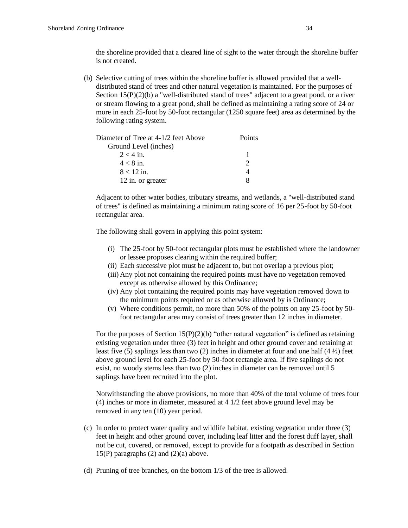the shoreline provided that a cleared line of sight to the water through the shoreline buffer is not created.

(b) Selective cutting of trees within the shoreline buffer is allowed provided that a welldistributed stand of trees and other natural vegetation is maintained. For the purposes of Section 15(P)(2)(b) a "well-distributed stand of trees" adjacent to a great pond, or a river or stream flowing to a great pond, shall be defined as maintaining a rating score of 24 or more in each 25-foot by 50-foot rectangular (1250 square feet) area as determined by the following rating system.

| Diameter of Tree at 4-1/2 feet Above | <b>Points</b> |
|--------------------------------------|---------------|
| Ground Level (inches)                |               |
| $2 < 4$ in.                          |               |
| $4 < 8$ in.                          |               |
| $8 < 12$ in.                         |               |
| 12 in. or greater                    | x             |

Adjacent to other water bodies, tributary streams, and wetlands, a "well-distributed stand of trees" is defined as maintaining a minimum rating score of 16 per 25-foot by 50-foot rectangular area.

The following shall govern in applying this point system:

- (i) The 25-foot by 50-foot rectangular plots must be established where the landowner or lessee proposes clearing within the required buffer;
- (ii) Each successive plot must be adjacent to, but not overlap a previous plot;
- (iii) Any plot not containing the required points must have no vegetation removed except as otherwise allowed by this Ordinance;
- (iv) Any plot containing the required points may have vegetation removed down to the minimum points required or as otherwise allowed by is Ordinance;
- (v) Where conditions permit, no more than 50% of the points on any 25-foot by 50 foot rectangular area may consist of trees greater than 12 inches in diameter.

For the purposes of Section  $15(P)(2)(b)$  "other natural vegetation" is defined as retaining existing vegetation under three (3) feet in height and other ground cover and retaining at least five (5) saplings less than two (2) inches in diameter at four and one half  $(4\frac{1}{2})$  feet above ground level for each 25-foot by 50-foot rectangle area. If five saplings do not exist, no woody stems less than two (2) inches in diameter can be removed until 5 saplings have been recruited into the plot.

Notwithstanding the above provisions, no more than 40% of the total volume of trees four (4) inches or more in diameter, measured at 4 1/2 feet above ground level may be removed in any ten (10) year period.

- (c) In order to protect water quality and wildlife habitat, existing vegetation under three (3) feet in height and other ground cover, including leaf litter and the forest duff layer, shall not be cut, covered, or removed, except to provide for a footpath as described in Section 15(P) paragraphs  $(2)$  and  $(2)(a)$  above.
- (d) Pruning of tree branches, on the bottom 1/3 of the tree is allowed.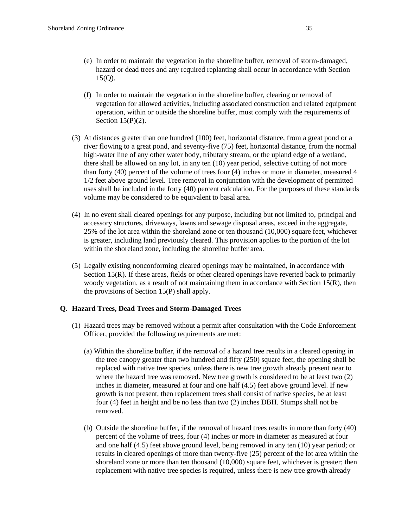- (e) In order to maintain the vegetation in the shoreline buffer, removal of storm-damaged, hazard or dead trees and any required replanting shall occur in accordance with Section 15(Q).
- (f) In order to maintain the vegetation in the shoreline buffer, clearing or removal of vegetation for allowed activities, including associated construction and related equipment operation, within or outside the shoreline buffer, must comply with the requirements of Section  $15(P)(2)$ .
- (3) At distances greater than one hundred (100) feet, horizontal distance, from a great pond or a river flowing to a great pond, and seventy-five (75) feet, horizontal distance, from the normal high-water line of any other water body, tributary stream, or the upland edge of a wetland, there shall be allowed on any lot, in any ten (10) year period, selective cutting of not more than forty (40) percent of the volume of trees four (4) inches or more in diameter, measured 4 1/2 feet above ground level. Tree removal in conjunction with the development of permitted uses shall be included in the forty (40) percent calculation. For the purposes of these standards volume may be considered to be equivalent to basal area.
- (4) In no event shall cleared openings for any purpose, including but not limited to, principal and accessory structures, driveways, lawns and sewage disposal areas, exceed in the aggregate, 25% of the lot area within the shoreland zone or ten thousand (10,000) square feet, whichever is greater, including land previously cleared. This provision applies to the portion of the lot within the shoreland zone, including the shoreline buffer area.
- (5) Legally existing nonconforming cleared openings may be maintained, in accordance with Section 15(R). If these areas, fields or other cleared openings have reverted back to primarily woody vegetation, as a result of not maintaining them in accordance with Section 15(R), then the provisions of Section 15(P) shall apply.

## **Q. Hazard Trees, Dead Trees and Storm-Damaged Trees**

- (1) Hazard trees may be removed without a permit after consultation with the Code Enforcement Officer, provided the following requirements are met:
	- (a) Within the shoreline buffer, if the removal of a hazard tree results in a cleared opening in the tree canopy greater than two hundred and fifty (250) square feet, the opening shall be replaced with native tree species, unless there is new tree growth already present near to where the hazard tree was removed. New tree growth is considered to be at least two (2) inches in diameter, measured at four and one half (4.5) feet above ground level. If new growth is not present, then replacement trees shall consist of native species, be at least four (4) feet in height and be no less than two (2) inches DBH. Stumps shall not be removed.
	- (b) Outside the shoreline buffer, if the removal of hazard trees results in more than forty (40) percent of the volume of trees, four (4) inches or more in diameter as measured at four and one half (4.5) feet above ground level, being removed in any ten (10) year period; or results in cleared openings of more than twenty-five (25) percent of the lot area within the shoreland zone or more than ten thousand (10,000) square feet, whichever is greater; then replacement with native tree species is required, unless there is new tree growth already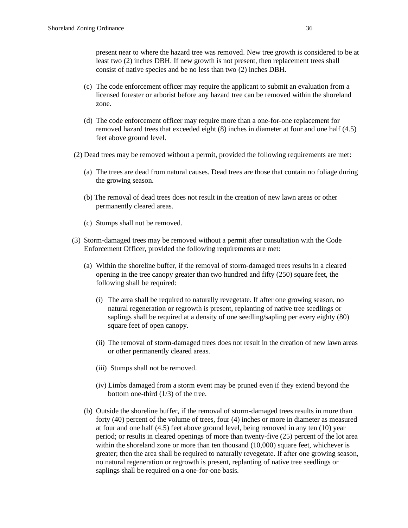present near to where the hazard tree was removed. New tree growth is considered to be at least two (2) inches DBH. If new growth is not present, then replacement trees shall consist of native species and be no less than two (2) inches DBH.

- (c) The code enforcement officer may require the applicant to submit an evaluation from a licensed forester or arborist before any hazard tree can be removed within the shoreland zone.
- (d) The code enforcement officer may require more than a one-for-one replacement for removed hazard trees that exceeded eight (8) inches in diameter at four and one half (4.5) feet above ground level.
- (2) Dead trees may be removed without a permit, provided the following requirements are met:
	- (a) The trees are dead from natural causes. Dead trees are those that contain no foliage during the growing season.
	- (b) The removal of dead trees does not result in the creation of new lawn areas or other permanently cleared areas.
	- (c) Stumps shall not be removed.
- (3) Storm-damaged trees may be removed without a permit after consultation with the Code Enforcement Officer, provided the following requirements are met:
	- (a) Within the shoreline buffer, if the removal of storm-damaged trees results in a cleared opening in the tree canopy greater than two hundred and fifty (250) square feet, the following shall be required:
		- (i) The area shall be required to naturally revegetate. If after one growing season, no natural regeneration or regrowth is present, replanting of native tree seedlings or saplings shall be required at a density of one seedling/sapling per every eighty (80) square feet of open canopy.
		- (ii) The removal of storm-damaged trees does not result in the creation of new lawn areas or other permanently cleared areas.
		- (iii) Stumps shall not be removed.
		- (iv) Limbs damaged from a storm event may be pruned even if they extend beyond the bottom one-third (1/3) of the tree.
	- (b) Outside the shoreline buffer, if the removal of storm-damaged trees results in more than forty (40) percent of the volume of trees, four (4) inches or more in diameter as measured at four and one half (4.5) feet above ground level, being removed in any ten (10) year period; or results in cleared openings of more than twenty-five (25) percent of the lot area within the shoreland zone or more than ten thousand (10,000) square feet, whichever is greater; then the area shall be required to naturally revegetate. If after one growing season, no natural regeneration or regrowth is present, replanting of native tree seedlings or saplings shall be required on a one-for-one basis.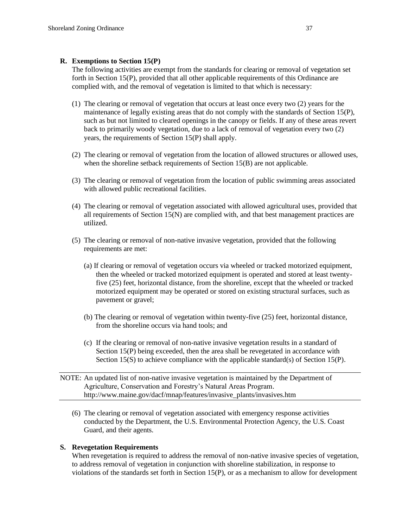## **R. Exemptions to Section 15(P)**

The following activities are exempt from the standards for clearing or removal of vegetation set forth in Section 15(P), provided that all other applicable requirements of this Ordinance are complied with, and the removal of vegetation is limited to that which is necessary:

- (1) The clearing or removal of vegetation that occurs at least once every two (2) years for the maintenance of legally existing areas that do not comply with the standards of Section 15(P), such as but not limited to cleared openings in the canopy or fields. If any of these areas revert back to primarily woody vegetation, due to a lack of removal of vegetation every two (2) years, the requirements of Section 15(P) shall apply.
- (2) The clearing or removal of vegetation from the location of allowed structures or allowed uses, when the shoreline setback requirements of Section 15(B) are not applicable.
- (3) The clearing or removal of vegetation from the location of public swimming areas associated with allowed public recreational facilities.
- (4) The clearing or removal of vegetation associated with allowed agricultural uses, provided that all requirements of Section 15(N) are complied with, and that best management practices are utilized.
- (5) The clearing or removal of non-native invasive vegetation, provided that the following requirements are met:
	- (a) If clearing or removal of vegetation occurs via wheeled or tracked motorized equipment, then the wheeled or tracked motorized equipment is operated and stored at least twentyfive (25) feet, horizontal distance, from the shoreline, except that the wheeled or tracked motorized equipment may be operated or stored on existing structural surfaces, such as pavement or gravel;
	- (b) The clearing or removal of vegetation within twenty-five (25) feet, horizontal distance, from the shoreline occurs via hand tools; and
	- (c) If the clearing or removal of non-native invasive vegetation results in a standard of Section 15(P) being exceeded, then the area shall be revegetated in accordance with Section 15(S) to achieve compliance with the applicable standard(s) of Section 15(P).
- NOTE: An updated list of non-native invasive vegetation is maintained by the Department of Agriculture, Conservation and Forestry's Natural Areas Program. http://www.maine.gov/dacf/mnap/features/invasive\_plants/invasives.htm
	- (6) The clearing or removal of vegetation associated with emergency response activities conducted by the Department, the U.S. Environmental Protection Agency, the U.S. Coast Guard, and their agents.

## **S. Revegetation Requirements**

When revegetation is required to address the removal of non-native invasive species of vegetation, to address removal of vegetation in conjunction with shoreline stabilization, in response to violations of the standards set forth in Section 15(P), or as a mechanism to allow for development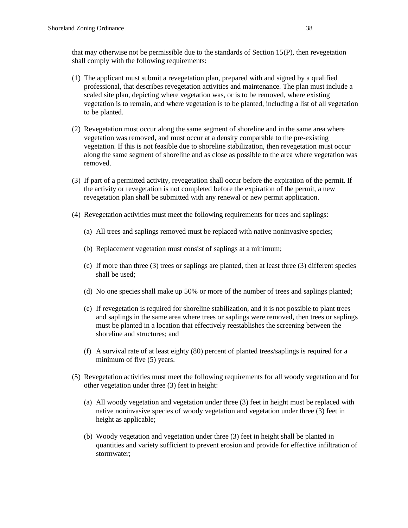that may otherwise not be permissible due to the standards of Section 15(P), then revegetation shall comply with the following requirements:

- (1) The applicant must submit a revegetation plan, prepared with and signed by a qualified professional, that describes revegetation activities and maintenance. The plan must include a scaled site plan, depicting where vegetation was, or is to be removed, where existing vegetation is to remain, and where vegetation is to be planted, including a list of all vegetation to be planted.
- (2) Revegetation must occur along the same segment of shoreline and in the same area where vegetation was removed, and must occur at a density comparable to the pre-existing vegetation. If this is not feasible due to shoreline stabilization, then revegetation must occur along the same segment of shoreline and as close as possible to the area where vegetation was removed.
- (3) If part of a permitted activity, revegetation shall occur before the expiration of the permit. If the activity or revegetation is not completed before the expiration of the permit, a new revegetation plan shall be submitted with any renewal or new permit application.
- (4) Revegetation activities must meet the following requirements for trees and saplings:
	- (a) All trees and saplings removed must be replaced with native noninvasive species;
	- (b) Replacement vegetation must consist of saplings at a minimum;
	- (c) If more than three (3) trees or saplings are planted, then at least three (3) different species shall be used;
	- (d) No one species shall make up 50% or more of the number of trees and saplings planted;
	- (e) If revegetation is required for shoreline stabilization, and it is not possible to plant trees and saplings in the same area where trees or saplings were removed, then trees or saplings must be planted in a location that effectively reestablishes the screening between the shoreline and structures; and
	- (f) A survival rate of at least eighty (80) percent of planted trees/saplings is required for a minimum of five (5) years.
- (5) Revegetation activities must meet the following requirements for all woody vegetation and for other vegetation under three (3) feet in height:
	- (a) All woody vegetation and vegetation under three (3) feet in height must be replaced with native noninvasive species of woody vegetation and vegetation under three (3) feet in height as applicable;
	- (b) Woody vegetation and vegetation under three (3) feet in height shall be planted in quantities and variety sufficient to prevent erosion and provide for effective infiltration of stormwater;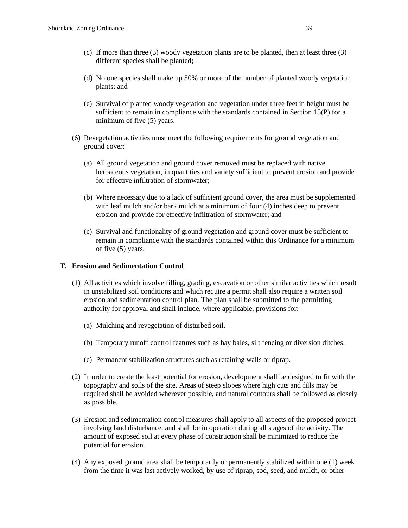- (c) If more than three (3) woody vegetation plants are to be planted, then at least three (3) different species shall be planted;
- (d) No one species shall make up 50% or more of the number of planted woody vegetation plants; and
- (e) Survival of planted woody vegetation and vegetation under three feet in height must be sufficient to remain in compliance with the standards contained in Section 15(P) for a minimum of five (5) years.
- (6) Revegetation activities must meet the following requirements for ground vegetation and ground cover:
	- (a) All ground vegetation and ground cover removed must be replaced with native herbaceous vegetation, in quantities and variety sufficient to prevent erosion and provide for effective infiltration of stormwater;
	- (b) Where necessary due to a lack of sufficient ground cover, the area must be supplemented with leaf mulch and/or bark mulch at a minimum of four (4) inches deep to prevent erosion and provide for effective infiltration of stormwater; and
	- (c) Survival and functionality of ground vegetation and ground cover must be sufficient to remain in compliance with the standards contained within this Ordinance for a minimum of five (5) years.

## **T. Erosion and Sedimentation Control**

- (1) All activities which involve filling, grading, excavation or other similar activities which result in unstabilized soil conditions and which require a permit shall also require a written soil erosion and sedimentation control plan. The plan shall be submitted to the permitting authority for approval and shall include, where applicable, provisions for:
	- (a) Mulching and revegetation of disturbed soil.
	- (b) Temporary runoff control features such as hay bales, silt fencing or diversion ditches.
	- (c) Permanent stabilization structures such as retaining walls or riprap.
- (2) In order to create the least potential for erosion, development shall be designed to fit with the topography and soils of the site. Areas of steep slopes where high cuts and fills may be required shall be avoided wherever possible, and natural contours shall be followed as closely as possible.
- (3) Erosion and sedimentation control measures shall apply to all aspects of the proposed project involving land disturbance, and shall be in operation during all stages of the activity. The amount of exposed soil at every phase of construction shall be minimized to reduce the potential for erosion.
- (4) Any exposed ground area shall be temporarily or permanently stabilized within one (1) week from the time it was last actively worked, by use of riprap, sod, seed, and mulch, or other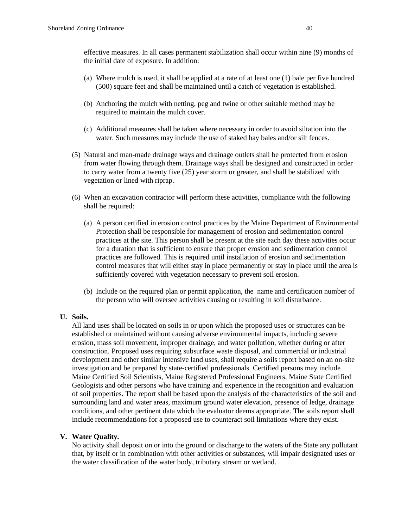effective measures. In all cases permanent stabilization shall occur within nine (9) months of the initial date of exposure. In addition:

- (a) Where mulch is used, it shall be applied at a rate of at least one (1) bale per five hundred (500) square feet and shall be maintained until a catch of vegetation is established.
- (b) Anchoring the mulch with netting, peg and twine or other suitable method may be required to maintain the mulch cover.
- (c) Additional measures shall be taken where necessary in order to avoid siltation into the water. Such measures may include the use of staked hay bales and/or silt fences.
- (5) Natural and man-made drainage ways and drainage outlets shall be protected from erosion from water flowing through them. Drainage ways shall be designed and constructed in order to carry water from a twenty five (25) year storm or greater, and shall be stabilized with vegetation or lined with riprap.
- (6) When an excavation contractor will perform these activities, compliance with the following shall be required:
	- (a) A person certified in erosion control practices by the Maine Department of Environmental Protection shall be responsible for management of erosion and sedimentation control practices at the site. This person shall be present at the site each day these activities occur for a duration that is sufficient to ensure that proper erosion and sedimentation control practices are followed. This is required until installation of erosion and sedimentation control measures that will either stay in place permanently or stay in place until the area is sufficiently covered with vegetation necessary to prevent soil erosion.
	- (b) Include on the required plan or permit application, the name and certification number of the person who will oversee activities causing or resulting in soil disturbance.

## **U. Soils.**

All land uses shall be located on soils in or upon which the proposed uses or structures can be established or maintained without causing adverse environmental impacts, including severe erosion, mass soil movement, improper drainage, and water pollution, whether during or after construction. Proposed uses requiring subsurface waste disposal, and commercial or industrial development and other similar intensive land uses, shall require a soils report based on an on-site investigation and be prepared by state-certified professionals. Certified persons may include Maine Certified Soil Scientists, Maine Registered Professional Engineers, Maine State Certified Geologists and other persons who have training and experience in the recognition and evaluation of soil properties. The report shall be based upon the analysis of the characteristics of the soil and surrounding land and water areas, maximum ground water elevation, presence of ledge, drainage conditions, and other pertinent data which the evaluator deems appropriate. The soils report shall include recommendations for a proposed use to counteract soil limitations where they exist.

## **V. Water Quality.**

No activity shall deposit on or into the ground or discharge to the waters of the State any pollutant that, by itself or in combination with other activities or substances, will impair designated uses or the water classification of the water body, tributary stream or wetland.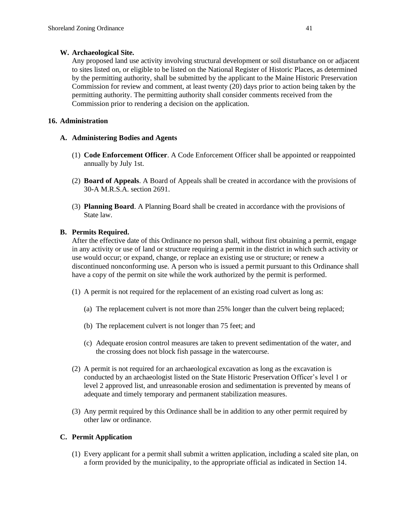# **W. Archaeological Site.**

Any proposed land use activity involving structural development or soil disturbance on or adjacent to sites listed on, or eligible to be listed on the National Register of Historic Places, as determined by the permitting authority, shall be submitted by the applicant to the Maine Historic Preservation Commission for review and comment, at least twenty (20) days prior to action being taken by the permitting authority. The permitting authority shall consider comments received from the Commission prior to rendering a decision on the application.

# **16. Administration**

# **A. Administering Bodies and Agents**

- (1) **Code Enforcement Officer**. A Code Enforcement Officer shall be appointed or reappointed annually by July 1st.
- (2) **Board of Appeals**. A Board of Appeals shall be created in accordance with the provisions of 30-A M.R.S.A. section 2691.
- (3) **Planning Board**. A Planning Board shall be created in accordance with the provisions of State law.

# **B. Permits Required.**

After the effective date of this Ordinance no person shall, without first obtaining a permit, engage in any activity or use of land or structure requiring a permit in the district in which such activity or use would occur; or expand, change, or replace an existing use or structure; or renew a discontinued nonconforming use. A person who is issued a permit pursuant to this Ordinance shall have a copy of the permit on site while the work authorized by the permit is performed.

- (1) A permit is not required for the replacement of an existing road culvert as long as:
	- (a) The replacement culvert is not more than 25% longer than the culvert being replaced;
	- (b) The replacement culvert is not longer than 75 feet; and
	- (c) Adequate erosion control measures are taken to prevent sedimentation of the water, and the crossing does not block fish passage in the watercourse.
- (2) A permit is not required for an archaeological excavation as long as the excavation is conducted by an archaeologist listed on the State Historic Preservation Officer's level 1 or level 2 approved list, and unreasonable erosion and sedimentation is prevented by means of adequate and timely temporary and permanent stabilization measures.
- (3) Any permit required by this Ordinance shall be in addition to any other permit required by other law or ordinance.

## **C. Permit Application**

(1) Every applicant for a permit shall submit a written application, including a scaled site plan, on a form provided by the municipality, to the appropriate official as indicated in Section 14.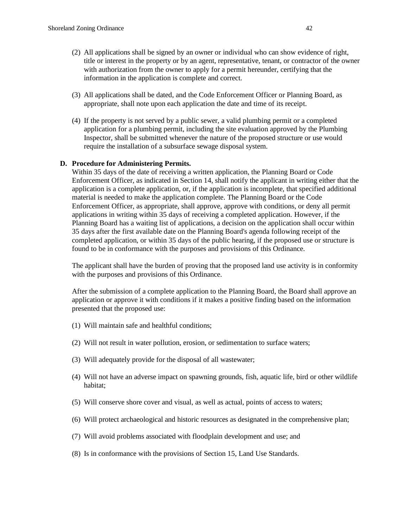- (2) All applications shall be signed by an owner or individual who can show evidence of right, title or interest in the property or by an agent, representative, tenant, or contractor of the owner with authorization from the owner to apply for a permit hereunder, certifying that the information in the application is complete and correct.
- (3) All applications shall be dated, and the Code Enforcement Officer or Planning Board, as appropriate, shall note upon each application the date and time of its receipt.
- (4) If the property is not served by a public sewer, a valid plumbing permit or a completed application for a plumbing permit, including the site evaluation approved by the Plumbing Inspector, shall be submitted whenever the nature of the proposed structure or use would require the installation of a subsurface sewage disposal system.

## **D. Procedure for Administering Permits.**

Within 35 days of the date of receiving a written application, the Planning Board or Code Enforcement Officer, as indicated in Section 14, shall notify the applicant in writing either that the application is a complete application, or, if the application is incomplete, that specified additional material is needed to make the application complete. The Planning Board or the Code Enforcement Officer, as appropriate, shall approve, approve with conditions, or deny all permit applications in writing within 35 days of receiving a completed application. However, if the Planning Board has a waiting list of applications, a decision on the application shall occur within 35 days after the first available date on the Planning Board's agenda following receipt of the completed application, or within 35 days of the public hearing, if the proposed use or structure is found to be in conformance with the purposes and provisions of this Ordinance.

The applicant shall have the burden of proving that the proposed land use activity is in conformity with the purposes and provisions of this Ordinance.

After the submission of a complete application to the Planning Board, the Board shall approve an application or approve it with conditions if it makes a positive finding based on the information presented that the proposed use:

- (1) Will maintain safe and healthful conditions;
- (2) Will not result in water pollution, erosion, or sedimentation to surface waters;
- (3) Will adequately provide for the disposal of all wastewater;
- (4) Will not have an adverse impact on spawning grounds, fish, aquatic life, bird or other wildlife habitat;
- (5) Will conserve shore cover and visual, as well as actual, points of access to waters;
- (6) Will protect archaeological and historic resources as designated in the comprehensive plan;
- (7) Will avoid problems associated with floodplain development and use; and
- (8) Is in conformance with the provisions of Section 15, Land Use Standards.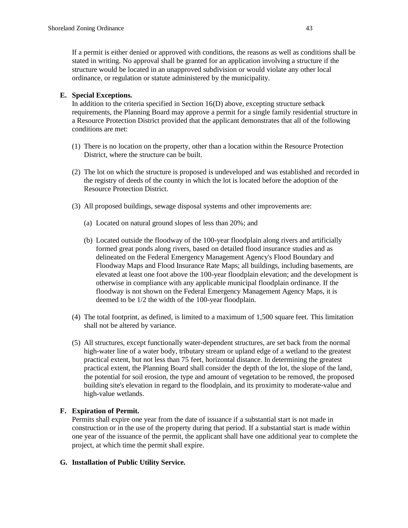If a permit is either denied or approved with conditions, the reasons as well as conditions shall be stated in writing. No approval shall be granted for an application involving a structure if the structure would be located in an unapproved subdivision or would violate any other local ordinance, or regulation or statute administered by the municipality.

# **E. Special Exceptions.**

In addition to the criteria specified in Section 16(D) above, excepting structure setback requirements, the Planning Board may approve a permit for a single family residential structure in a Resource Protection District provided that the applicant demonstrates that all of the following conditions are met:

- (1) There is no location on the property, other than a location within the Resource Protection District, where the structure can be built.
- (2) The lot on which the structure is proposed is undeveloped and was established and recorded in the registry of deeds of the county in which the lot is located before the adoption of the Resource Protection District.
- (3) All proposed buildings, sewage disposal systems and other improvements are:
	- (a) Located on natural ground slopes of less than 20%; and
	- (b) Located outside the floodway of the 100-year floodplain along rivers and artificially formed great ponds along rivers, based on detailed flood insurance studies and as delineated on the Federal Emergency Management Agency's Flood Boundary and Floodway Maps and Flood Insurance Rate Maps; all buildings, including basements, are elevated at least one foot above the 100-year floodplain elevation; and the development is otherwise in compliance with any applicable municipal floodplain ordinance. If the floodway is not shown on the Federal Emergency Management Agency Maps, it is deemed to be 1/2 the width of the 100-year floodplain.
- (4) The total footprint, as defined, is limited to a maximum of 1,500 square feet. This limitation shall not be altered by variance.
- (5) All structures, except functionally water-dependent structures, are set back from the normal high-water line of a water body, tributary stream or upland edge of a wetland to the greatest practical extent, but not less than 75 feet, horizontal distance. In determining the greatest practical extent, the Planning Board shall consider the depth of the lot, the slope of the land, the potential for soil erosion, the type and amount of vegetation to be removed, the proposed building site's elevation in regard to the floodplain, and its proximity to moderate-value and high-value wetlands.

# **F. Expiration of Permit.**

Permits shall expire one year from the date of issuance if a substantial start is not made in construction or in the use of the property during that period. If a substantial start is made within one year of the issuance of the permit, the applicant shall have one additional year to complete the project, at which time the permit shall expire.

## **G. Installation of Public Utility Service.**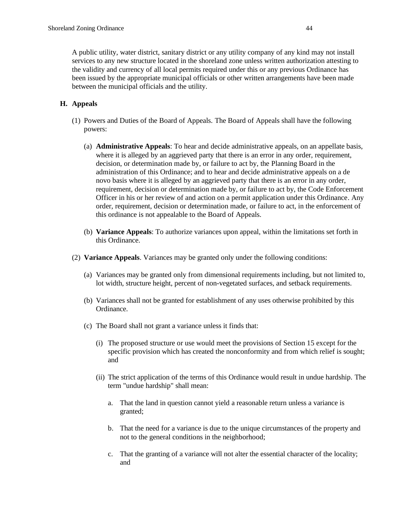A public utility, water district, sanitary district or any utility company of any kind may not install services to any new structure located in the shoreland zone unless written authorization attesting to the validity and currency of all local permits required under this or any previous Ordinance has been issued by the appropriate municipal officials or other written arrangements have been made between the municipal officials and the utility.

# **H. Appeals**

- (1) Powers and Duties of the Board of Appeals. The Board of Appeals shall have the following powers:
	- (a) **Administrative Appeals**: To hear and decide administrative appeals, on an appellate basis, where it is alleged by an aggrieved party that there is an error in any order, requirement, decision, or determination made by, or failure to act by, the Planning Board in the administration of this Ordinance; and to hear and decide administrative appeals on a de novo basis where it is alleged by an aggrieved party that there is an error in any order, requirement, decision or determination made by, or failure to act by, the Code Enforcement Officer in his or her review of and action on a permit application under this Ordinance. Any order, requirement, decision or determination made, or failure to act, in the enforcement of this ordinance is not appealable to the Board of Appeals.
	- (b) **Variance Appeals**: To authorize variances upon appeal, within the limitations set forth in this Ordinance.
- (2) **Variance Appeals**. Variances may be granted only under the following conditions:
	- (a) Variances may be granted only from dimensional requirements including, but not limited to, lot width, structure height, percent of non-vegetated surfaces, and setback requirements.
	- (b) Variances shall not be granted for establishment of any uses otherwise prohibited by this Ordinance.
	- (c) The Board shall not grant a variance unless it finds that:
		- (i) The proposed structure or use would meet the provisions of Section 15 except for the specific provision which has created the nonconformity and from which relief is sought; and
		- (ii) The strict application of the terms of this Ordinance would result in undue hardship. The term "undue hardship" shall mean:
			- a. That the land in question cannot yield a reasonable return unless a variance is granted;
			- b. That the need for a variance is due to the unique circumstances of the property and not to the general conditions in the neighborhood;
			- c. That the granting of a variance will not alter the essential character of the locality; and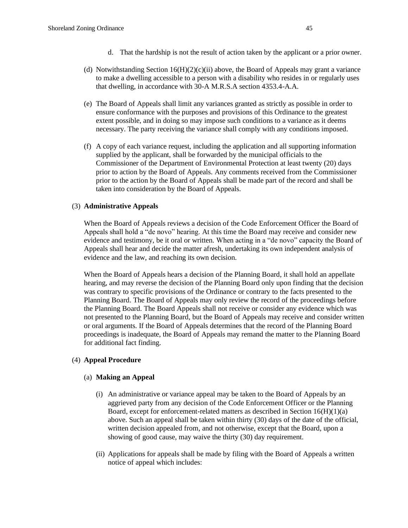- (d) Notwithstanding Section  $16(H)(2)(c)(ii)$  above, the Board of Appeals may grant a variance to make a dwelling accessible to a person with a disability who resides in or regularly uses that dwelling, in accordance with 30-A M.R.S.A section 4353.4-A.A.
- (e) The Board of Appeals shall limit any variances granted as strictly as possible in order to ensure conformance with the purposes and provisions of this Ordinance to the greatest extent possible, and in doing so may impose such conditions to a variance as it deems necessary. The party receiving the variance shall comply with any conditions imposed.
- (f) A copy of each variance request, including the application and all supporting information supplied by the applicant, shall be forwarded by the municipal officials to the Commissioner of the Department of Environmental Protection at least twenty (20) days prior to action by the Board of Appeals. Any comments received from the Commissioner prior to the action by the Board of Appeals shall be made part of the record and shall be taken into consideration by the Board of Appeals.

## (3) **Administrative Appeals**

When the Board of Appeals reviews a decision of the Code Enforcement Officer the Board of Appeals shall hold a "de novo" hearing. At this time the Board may receive and consider new evidence and testimony, be it oral or written. When acting in a "de novo" capacity the Board of Appeals shall hear and decide the matter afresh, undertaking its own independent analysis of evidence and the law, and reaching its own decision.

When the Board of Appeals hears a decision of the Planning Board, it shall hold an appellate hearing, and may reverse the decision of the Planning Board only upon finding that the decision was contrary to specific provisions of the Ordinance or contrary to the facts presented to the Planning Board. The Board of Appeals may only review the record of the proceedings before the Planning Board. The Board Appeals shall not receive or consider any evidence which was not presented to the Planning Board, but the Board of Appeals may receive and consider written or oral arguments. If the Board of Appeals determines that the record of the Planning Board proceedings is inadequate, the Board of Appeals may remand the matter to the Planning Board for additional fact finding.

## (4) **Appeal Procedure**

## (a) **Making an Appeal**

- (i) An administrative or variance appeal may be taken to the Board of Appeals by an aggrieved party from any decision of the Code Enforcement Officer or the Planning Board, except for enforcement-related matters as described in Section 16(H)(1)(a) above. Such an appeal shall be taken within thirty (30) days of the date of the official, written decision appealed from, and not otherwise, except that the Board, upon a showing of good cause, may waive the thirty (30) day requirement.
- (ii) Applications for appeals shall be made by filing with the Board of Appeals a written notice of appeal which includes: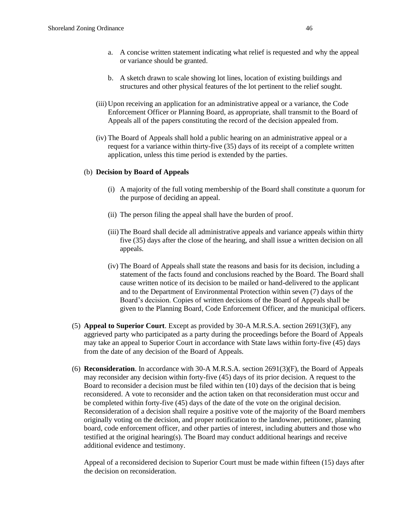- a. A concise written statement indicating what relief is requested and why the appeal or variance should be granted.
- b. A sketch drawn to scale showing lot lines, location of existing buildings and structures and other physical features of the lot pertinent to the relief sought.
- (iii) Upon receiving an application for an administrative appeal or a variance, the Code Enforcement Officer or Planning Board, as appropriate, shall transmit to the Board of Appeals all of the papers constituting the record of the decision appealed from.
- (iv) The Board of Appeals shall hold a public hearing on an administrative appeal or a request for a variance within thirty-five (35) days of its receipt of a complete written application, unless this time period is extended by the parties.

#### (b) **Decision by Board of Appeals**

- (i) A majority of the full voting membership of the Board shall constitute a quorum for the purpose of deciding an appeal.
- (ii) The person filing the appeal shall have the burden of proof.
- (iii) The Board shall decide all administrative appeals and variance appeals within thirty five (35) days after the close of the hearing, and shall issue a written decision on all appeals.
- (iv) The Board of Appeals shall state the reasons and basis for its decision, including a statement of the facts found and conclusions reached by the Board. The Board shall cause written notice of its decision to be mailed or hand-delivered to the applicant and to the Department of Environmental Protection within seven (7) days of the Board's decision. Copies of written decisions of the Board of Appeals shall be given to the Planning Board, Code Enforcement Officer, and the municipal officers.
- (5) **Appeal to Superior Court**. Except as provided by 30-A M.R.S.A. section 2691(3)(F), any aggrieved party who participated as a party during the proceedings before the Board of Appeals may take an appeal to Superior Court in accordance with State laws within forty-five (45) days from the date of any decision of the Board of Appeals.
- (6) **Reconsideration**. In accordance with 30-A M.R.S.A. section 2691(3)(F), the Board of Appeals may reconsider any decision within forty-five (45) days of its prior decision. A request to the Board to reconsider a decision must be filed within ten (10) days of the decision that is being reconsidered. A vote to reconsider and the action taken on that reconsideration must occur and be completed within forty-five (45) days of the date of the vote on the original decision. Reconsideration of a decision shall require a positive vote of the majority of the Board members originally voting on the decision, and proper notification to the landowner, petitioner, planning board, code enforcement officer, and other parties of interest, including abutters and those who testified at the original hearing(s). The Board may conduct additional hearings and receive additional evidence and testimony.

Appeal of a reconsidered decision to Superior Court must be made within fifteen (15) days after the decision on reconsideration.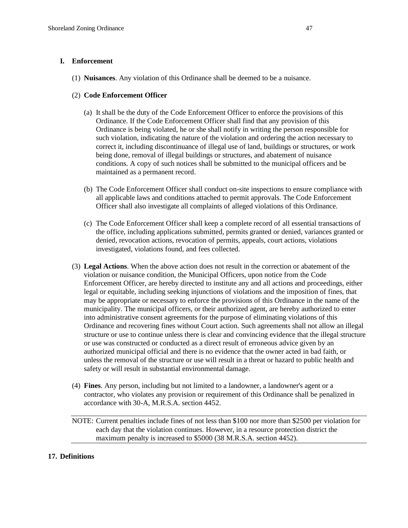# **I. Enforcement**

(1) **Nuisances**. Any violation of this Ordinance shall be deemed to be a nuisance.

# (2) **Code Enforcement Officer**

- (a) It shall be the duty of the Code Enforcement Officer to enforce the provisions of this Ordinance. If the Code Enforcement Officer shall find that any provision of this Ordinance is being violated, he or she shall notify in writing the person responsible for such violation, indicating the nature of the violation and ordering the action necessary to correct it, including discontinuance of illegal use of land, buildings or structures, or work being done, removal of illegal buildings or structures, and abatement of nuisance conditions. A copy of such notices shall be submitted to the municipal officers and be maintained as a permanent record.
- (b) The Code Enforcement Officer shall conduct on-site inspections to ensure compliance with all applicable laws and conditions attached to permit approvals. The Code Enforcement Officer shall also investigate all complaints of alleged violations of this Ordinance.
- (c) The Code Enforcement Officer shall keep a complete record of all essential transactions of the office, including applications submitted, permits granted or denied, variances granted or denied, revocation actions, revocation of permits, appeals, court actions, violations investigated, violations found, and fees collected.
- (3) **Legal Actions**. When the above action does not result in the correction or abatement of the violation or nuisance condition, the Municipal Officers, upon notice from the Code Enforcement Officer, are hereby directed to institute any and all actions and proceedings, either legal or equitable, including seeking injunctions of violations and the imposition of fines, that may be appropriate or necessary to enforce the provisions of this Ordinance in the name of the municipality. The municipal officers, or their authorized agent, are hereby authorized to enter into administrative consent agreements for the purpose of eliminating violations of this Ordinance and recovering fines without Court action. Such agreements shall not allow an illegal structure or use to continue unless there is clear and convincing evidence that the illegal structure or use was constructed or conducted as a direct result of erroneous advice given by an authorized municipal official and there is no evidence that the owner acted in bad faith, or unless the removal of the structure or use will result in a threat or hazard to public health and safety or will result in substantial environmental damage.
- (4) **Fines**. Any person, including but not limited to a landowner, a landowner's agent or a contractor, who violates any provision or requirement of this Ordinance shall be penalized in accordance with 30-A, M.R.S.A. section 4452.

NOTE: Current penalties include fines of not less than \$100 nor more than \$2500 per violation for each day that the violation continues. However, in a resource protection district the maximum penalty is increased to \$5000 (38 M.R.S.A. section 4452).

## **17. Definitions**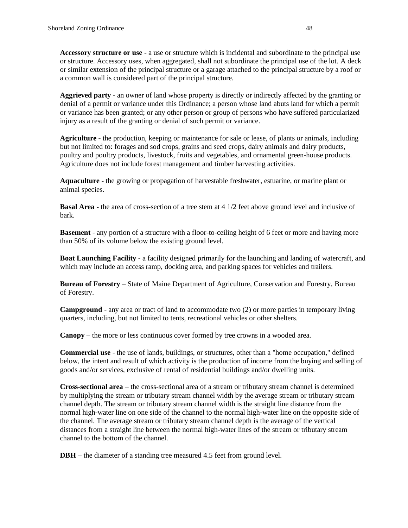**Accessory structure or use** - a use or structure which is incidental and subordinate to the principal use or structure. Accessory uses, when aggregated, shall not subordinate the principal use of the lot. A deck or similar extension of the principal structure or a garage attached to the principal structure by a roof or a common wall is considered part of the principal structure.

**Aggrieved party** - an owner of land whose property is directly or indirectly affected by the granting or denial of a permit or variance under this Ordinance; a person whose land abuts land for which a permit or variance has been granted; or any other person or group of persons who have suffered particularized injury as a result of the granting or denial of such permit or variance.

**Agriculture** - the production, keeping or maintenance for sale or lease, of plants or animals, including but not limited to: forages and sod crops, grains and seed crops, dairy animals and dairy products, poultry and poultry products, livestock, fruits and vegetables, and ornamental green-house products. Agriculture does not include forest management and timber harvesting activities.

**Aquaculture** - the growing or propagation of harvestable freshwater, estuarine, or marine plant or animal species.

**Basal Area** - the area of cross-section of a tree stem at 4 1/2 feet above ground level and inclusive of bark.

**Basement** - any portion of a structure with a floor-to-ceiling height of 6 feet or more and having more than 50% of its volume below the existing ground level.

**Boat Launching Facility** - a facility designed primarily for the launching and landing of watercraft, and which may include an access ramp, docking area, and parking spaces for vehicles and trailers.

**Bureau of Forestry** – State of Maine Department of Agriculture, Conservation and Forestry, Bureau of Forestry.

**Campground** - any area or tract of land to accommodate two (2) or more parties in temporary living quarters, including, but not limited to tents, recreational vehicles or other shelters.

**Canopy** – the more or less continuous cover formed by tree crowns in a wooded area.

**Commercial use** - the use of lands, buildings, or structures, other than a "home occupation," defined below, the intent and result of which activity is the production of income from the buying and selling of goods and/or services, exclusive of rental of residential buildings and/or dwelling units.

**Cross-sectional area** – the cross-sectional area of a stream or tributary stream channel is determined by multiplying the stream or tributary stream channel width by the average stream or tributary stream channel depth. The stream or tributary stream channel width is the straight line distance from the normal high-water line on one side of the channel to the normal high-water line on the opposite side of the channel. The average stream or tributary stream channel depth is the average of the vertical distances from a straight line between the normal high-water lines of the stream or tributary stream channel to the bottom of the channel.

**DBH** – the diameter of a standing tree measured 4.5 feet from ground level.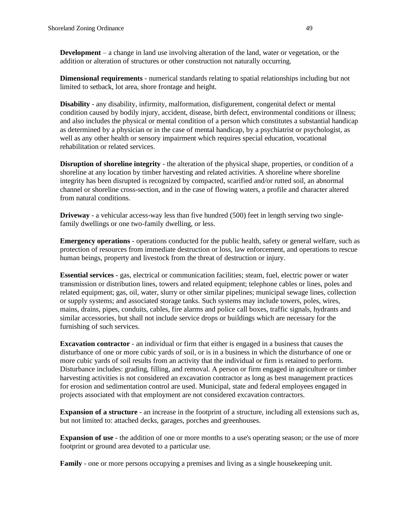**Development** – a change in land use involving alteration of the land, water or vegetation, or the addition or alteration of structures or other construction not naturally occurring.

**Dimensional requirements** - numerical standards relating to spatial relationships including but not limited to setback, lot area, shore frontage and height.

**Disability** - any disability, infirmity, malformation, disfigurement, congenital defect or mental condition caused by bodily injury, accident, disease, birth defect, environmental conditions or illness; and also includes the physical or mental condition of a person which constitutes a substantial handicap as determined by a physician or in the case of mental handicap, by a psychiatrist or psychologist, as well as any other health or sensory impairment which requires special education, vocational rehabilitation or related services.

**Disruption of shoreline integrity** - the alteration of the physical shape, properties, or condition of a shoreline at any location by timber harvesting and related activities. A shoreline where shoreline integrity has been disrupted is recognized by compacted, scarified and/or rutted soil, an abnormal channel or shoreline cross-section, and in the case of flowing waters, a profile and character altered from natural conditions.

**Driveway** - a vehicular access-way less than five hundred (500) feet in length serving two singlefamily dwellings or one two-family dwelling, or less.

**Emergency operations** - operations conducted for the public health, safety or general welfare, such as protection of resources from immediate destruction or loss, law enforcement, and operations to rescue human beings, property and livestock from the threat of destruction or injury.

**Essential services** - gas, electrical or communication facilities; steam, fuel, electric power or water transmission or distribution lines, towers and related equipment; telephone cables or lines, poles and related equipment; gas, oil, water, slurry or other similar pipelines; municipal sewage lines, collection or supply systems; and associated storage tanks. Such systems may include towers, poles, wires, mains, drains, pipes, conduits, cables, fire alarms and police call boxes, traffic signals, hydrants and similar accessories, but shall not include service drops or buildings which are necessary for the furnishing of such services.

**Excavation contractor** - an individual or firm that either is engaged in a business that causes the disturbance of one or more cubic yards of soil, or is in a business in which the disturbance of one or more cubic yards of soil results from an activity that the individual or firm is retained to perform. Disturbance includes: grading, filling, and removal. A person or firm engaged in agriculture or timber harvesting activities is not considered an excavation contractor as long as best management practices for erosion and sedimentation control are used. Municipal, state and federal employees engaged in projects associated with that employment are not considered excavation contractors.

**Expansion of a structure** - an increase in the footprint of a structure, including all extensions such as, but not limited to: attached decks, garages, porches and greenhouses.

**Expansion of use** - the addition of one or more months to a use's operating season; or the use of more footprint or ground area devoted to a particular use.

**Family** - one or more persons occupying a premises and living as a single housekeeping unit.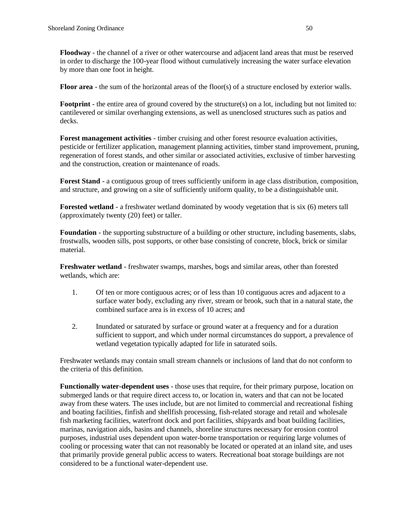**Floodway** - the channel of a river or other watercourse and adjacent land areas that must be reserved in order to discharge the 100-year flood without cumulatively increasing the water surface elevation by more than one foot in height.

**Floor area** - the sum of the horizontal areas of the floor(s) of a structure enclosed by exterior walls.

**Footprint** - the entire area of ground covered by the structure(s) on a lot, including but not limited to: cantilevered or similar overhanging extensions, as well as unenclosed structures such as patios and decks.

**Forest management activities** - timber cruising and other forest resource evaluation activities, pesticide or fertilizer application, management planning activities, timber stand improvement, pruning, regeneration of forest stands, and other similar or associated activities, exclusive of timber harvesting and the construction, creation or maintenance of roads.

**Forest Stand** - a contiguous group of trees sufficiently uniform in age class distribution, composition, and structure, and growing on a site of sufficiently uniform quality, to be a distinguishable unit.

**Forested wetland** - a freshwater wetland dominated by woody vegetation that is six (6) meters tall (approximately twenty (20) feet) or taller.

**Foundation** - the supporting substructure of a building or other structure, including basements, slabs, frostwalls, wooden sills, post supports, or other base consisting of concrete, block, brick or similar material.

**Freshwater wetland** - freshwater swamps, marshes, bogs and similar areas, other than forested wetlands, which are:

- 1. Of ten or more contiguous acres; or of less than 10 contiguous acres and adjacent to a surface water body, excluding any river, stream or brook, such that in a natural state, the combined surface area is in excess of 10 acres; and
- 2. Inundated or saturated by surface or ground water at a frequency and for a duration sufficient to support, and which under normal circumstances do support, a prevalence of wetland vegetation typically adapted for life in saturated soils.

Freshwater wetlands may contain small stream channels or inclusions of land that do not conform to the criteria of this definition.

**Functionally water-dependent uses** - those uses that require, for their primary purpose, location on submerged lands or that require direct access to, or location in, waters and that can not be located away from these waters. The uses include, but are not limited to commercial and recreational fishing and boating facilities, finfish and shellfish processing, fish-related storage and retail and wholesale fish marketing facilities, waterfront dock and port facilities, shipyards and boat building facilities, marinas, navigation aids, basins and channels, shoreline structures necessary for erosion control purposes, industrial uses dependent upon water-borne transportation or requiring large volumes of cooling or processing water that can not reasonably be located or operated at an inland site, and uses that primarily provide general public access to waters. Recreational boat storage buildings are not considered to be a functional water-dependent use.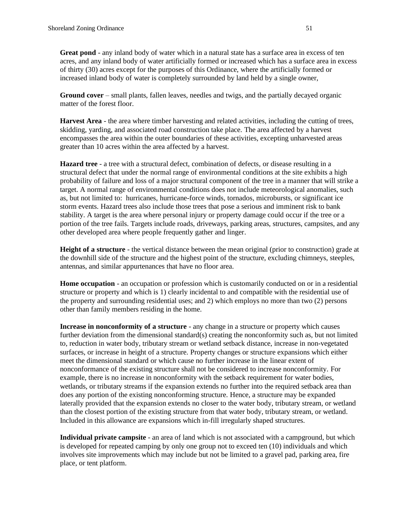**Great pond** - any inland body of water which in a natural state has a surface area in excess of ten acres, and any inland body of water artificially formed or increased which has a surface area in excess of thirty (30) acres except for the purposes of this Ordinance, where the artificially formed or increased inland body of water is completely surrounded by land held by a single owner,

**Ground cover** – small plants, fallen leaves, needles and twigs, and the partially decayed organic matter of the forest floor.

**Harvest Area** - the area where timber harvesting and related activities, including the cutting of trees, skidding, yarding, and associated road construction take place. The area affected by a harvest encompasses the area within the outer boundaries of these activities, excepting unharvested areas greater than 10 acres within the area affected by a harvest.

**Hazard tree** - a tree with a structural defect, combination of defects, or disease resulting in a structural defect that under the normal range of environmental conditions at the site exhibits a high probability of failure and loss of a major structural component of the tree in a manner that will strike a target. A normal range of environmental conditions does not include meteorological anomalies, such as, but not limited to: hurricanes, hurricane-force winds, tornados, microbursts, or significant ice storm events. Hazard trees also include those trees that pose a serious and imminent risk to bank stability. A target is the area where personal injury or property damage could occur if the tree or a portion of the tree fails. Targets include roads, driveways, parking areas, structures, campsites, and any other developed area where people frequently gather and linger.

**Height of a structure** - the vertical distance between the mean original (prior to construction) grade at the downhill side of the structure and the highest point of the structure, excluding chimneys, steeples, antennas, and similar appurtenances that have no floor area.

**Home occupation** - an occupation or profession which is customarily conducted on or in a residential structure or property and which is 1) clearly incidental to and compatible with the residential use of the property and surrounding residential uses; and 2) which employs no more than two (2) persons other than family members residing in the home.

**Increase in nonconformity of a structure** - any change in a structure or property which causes further deviation from the dimensional standard(s) creating the nonconformity such as, but not limited to, reduction in water body, tributary stream or wetland setback distance, increase in non-vegetated surfaces, or increase in height of a structure. Property changes or structure expansions which either meet the dimensional standard or which cause no further increase in the linear extent of nonconformance of the existing structure shall not be considered to increase nonconformity. For example, there is no increase in nonconformity with the setback requirement for water bodies, wetlands, or tributary streams if the expansion extends no further into the required setback area than does any portion of the existing nonconforming structure. Hence, a structure may be expanded laterally provided that the expansion extends no closer to the water body, tributary stream, or wetland than the closest portion of the existing structure from that water body, tributary stream, or wetland. Included in this allowance are expansions which in-fill irregularly shaped structures.

**Individual private campsite** - an area of land which is not associated with a campground, but which is developed for repeated camping by only one group not to exceed ten (10) individuals and which involves site improvements which may include but not be limited to a gravel pad, parking area, fire place, or tent platform.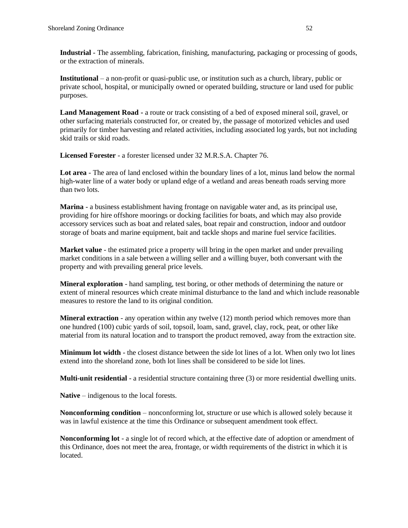**Industrial** - The assembling, fabrication, finishing, manufacturing, packaging or processing of goods, or the extraction of minerals.

**Institutional** – a non-profit or quasi-public use, or institution such as a church, library, public or private school, hospital, or municipally owned or operated building, structure or land used for public purposes.

**Land Management Road -** a route or track consisting of a bed of exposed mineral soil, gravel, or other surfacing materials constructed for, or created by, the passage of motorized vehicles and used primarily for timber harvesting and related activities, including associated log yards, but not including skid trails or skid roads.

**Licensed Forester** - a forester licensed under 32 M.R.S.A. Chapter 76.

**Lot area** - The area of land enclosed within the boundary lines of a lot, minus land below the normal high-water line of a water body or upland edge of a wetland and areas beneath roads serving more than two lots.

**Marina** - a business establishment having frontage on navigable water and, as its principal use, providing for hire offshore moorings or docking facilities for boats, and which may also provide accessory services such as boat and related sales, boat repair and construction, indoor and outdoor storage of boats and marine equipment, bait and tackle shops and marine fuel service facilities.

**Market value** - the estimated price a property will bring in the open market and under prevailing market conditions in a sale between a willing seller and a willing buyer, both conversant with the property and with prevailing general price levels.

**Mineral exploration** - hand sampling, test boring, or other methods of determining the nature or extent of mineral resources which create minimal disturbance to the land and which include reasonable measures to restore the land to its original condition.

**Mineral extraction** - any operation within any twelve (12) month period which removes more than one hundred (100) cubic yards of soil, topsoil, loam, sand, gravel, clay, rock, peat, or other like material from its natural location and to transport the product removed, away from the extraction site.

**Minimum lot width** - the closest distance between the side lot lines of a lot. When only two lot lines extend into the shoreland zone, both lot lines shall be considered to be side lot lines.

**Multi-unit residential** - a residential structure containing three (3) or more residential dwelling units.

**Native** – indigenous to the local forests.

**Nonconforming condition** – nonconforming lot, structure or use which is allowed solely because it was in lawful existence at the time this Ordinance or subsequent amendment took effect.

**Nonconforming lot** - a single lot of record which, at the effective date of adoption or amendment of this Ordinance, does not meet the area, frontage, or width requirements of the district in which it is located.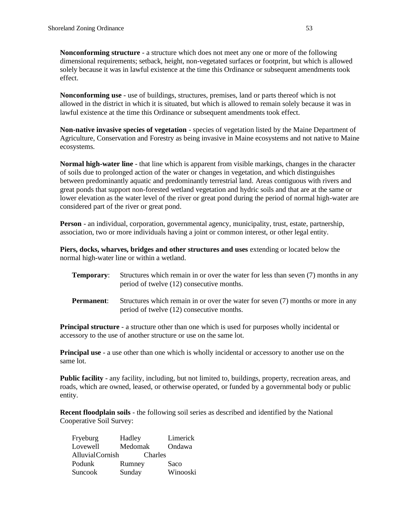**Nonconforming structure** - a structure which does not meet any one or more of the following dimensional requirements; setback, height, non-vegetated surfaces or footprint, but which is allowed solely because it was in lawful existence at the time this Ordinance or subsequent amendments took effect.

**Nonconforming use** - use of buildings, structures, premises, land or parts thereof which is not allowed in the district in which it is situated, but which is allowed to remain solely because it was in lawful existence at the time this Ordinance or subsequent amendments took effect.

**Non-native invasive species of vegetation** - species of vegetation listed by the Maine Department of Agriculture, Conservation and Forestry as being invasive in Maine ecosystems and not native to Maine ecosystems.

**Normal high-water line** - that line which is apparent from visible markings, changes in the character of soils due to prolonged action of the water or changes in vegetation, and which distinguishes between predominantly aquatic and predominantly terrestrial land. Areas contiguous with rivers and great ponds that support non-forested wetland vegetation and hydric soils and that are at the same or lower elevation as the water level of the river or great pond during the period of normal high-water are considered part of the river or great pond.

**Person** - an individual, corporation, governmental agency, municipality, trust, estate, partnership, association, two or more individuals having a joint or common interest, or other legal entity.

**Piers, docks, wharves, bridges and other structures and uses** extending or located below the normal high-water line or within a wetland.

- **Temporary:** Structures which remain in or over the water for less than seven (7) months in any period of twelve (12) consecutive months.
- **Permanent:** Structures which remain in or over the water for seven (7) months or more in any period of twelve (12) consecutive months.

**Principal structure** - a structure other than one which is used for purposes wholly incidental or accessory to the use of another structure or use on the same lot.

**Principal use** - a use other than one which is wholly incidental or accessory to another use on the same lot.

**Public facility** - any facility, including, but not limited to, buildings, property, recreation areas, and roads, which are owned, leased, or otherwise operated, or funded by a governmental body or public entity.

**Recent floodplain soils** - the following soil series as described and identified by the National Cooperative Soil Survey:

| Fryeburg        | Hadley  | Limerick |
|-----------------|---------|----------|
| Lovewell        | Medomak | Ondawa   |
| AlluvialCornish | Charles |          |
| Podunk          | Rumney  | Saco     |
| Suncook         | Sunday  | Winooski |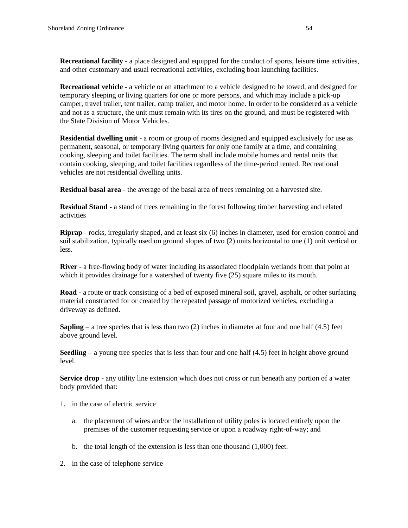**Recreational facility** - a place designed and equipped for the conduct of sports, leisure time activities, and other customary and usual recreational activities, excluding boat launching facilities.

**Recreational vehicle** - a vehicle or an attachment to a vehicle designed to be towed, and designed for temporary sleeping or living quarters for one or more persons, and which may include a pick-up camper, travel trailer, tent trailer, camp trailer, and motor home. In order to be considered as a vehicle and not as a structure, the unit must remain with its tires on the ground, and must be registered with the State Division of Motor Vehicles.

**Residential dwelling unit** - a room or group of rooms designed and equipped exclusively for use as permanent, seasonal, or temporary living quarters for only one family at a time, and containing cooking, sleeping and toilet facilities. The term shall include mobile homes and rental units that contain cooking, sleeping, and toilet facilities regardless of the time-period rented. Recreational vehicles are not residential dwelling units.

**Residual basal area** - the average of the basal area of trees remaining on a harvested site.

**Residual Stand** - a stand of trees remaining in the forest following timber harvesting and related activities

**Riprap** - rocks, irregularly shaped, and at least six (6) inches in diameter, used for erosion control and soil stabilization, typically used on ground slopes of two (2) units horizontal to one (1) unit vertical or less.

**River** - a free-flowing body of water including its associated floodplain wetlands from that point at which it provides drainage for a watershed of twenty five  $(25)$  square miles to its mouth.

**Road** - a route or track consisting of a bed of exposed mineral soil, gravel, asphalt, or other surfacing material constructed for or created by the repeated passage of motorized vehicles, excluding a driveway as defined.

**Sapling** – a tree species that is less than two  $(2)$  inches in diameter at four and one half  $(4.5)$  feet above ground level.

**Seedling** – a young tree species that is less than four and one half  $(4.5)$  feet in height above ground level.

**Service drop** - any utility line extension which does not cross or run beneath any portion of a water body provided that:

- 1. in the case of electric service
	- a. the placement of wires and/or the installation of utility poles is located entirely upon the premises of the customer requesting service or upon a roadway right-of-way; and
	- b. the total length of the extension is less than one thousand (1,000) feet.
- 2. in the case of telephone service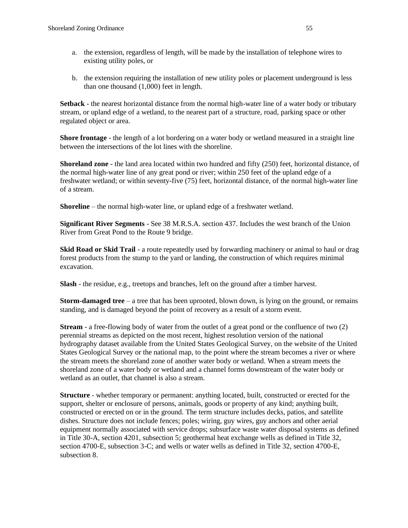- a. the extension, regardless of length, will be made by the installation of telephone wires to existing utility poles, or
- b. the extension requiring the installation of new utility poles or placement underground is less than one thousand (1,000) feet in length.

**Setback** - the nearest horizontal distance from the normal high-water line of a water body or tributary stream, or upland edge of a wetland, to the nearest part of a structure, road, parking space or other regulated object or area.

**Shore frontage** - the length of a lot bordering on a water body or wetland measured in a straight line between the intersections of the lot lines with the shoreline.

**Shoreland zone** - the land area located within two hundred and fifty (250) feet, horizontal distance, of the normal high-water line of any great pond or river; within 250 feet of the upland edge of a freshwater wetland; or within seventy-five (75) feet, horizontal distance, of the normal high-water line of a stream.

**Shoreline** – the normal high-water line, or upland edge of a freshwater wetland.

**Significant River Segments** - See 38 M.R.S.A. section 437. Includes the west branch of the Union River from Great Pond to the Route 9 bridge.

**Skid Road or Skid Trail** - a route repeatedly used by forwarding machinery or animal to haul or drag forest products from the stump to the yard or landing, the construction of which requires minimal excavation.

**Slash** - the residue, e.g., treetops and branches, left on the ground after a timber harvest.

**Storm-damaged tree** – a tree that has been uprooted, blown down, is lying on the ground, or remains standing, and is damaged beyond the point of recovery as a result of a storm event.

**Stream** - a free-flowing body of water from the outlet of a great pond or the confluence of two (2) perennial streams as depicted on the most recent, highest resolution version of the national hydrography dataset available from the United States Geological Survey, on the website of the United States Geological Survey or the national map, to the point where the stream becomes a river or where the stream meets the shoreland zone of another water body or wetland. When a stream meets the shoreland zone of a water body or wetland and a channel forms downstream of the water body or wetland as an outlet, that channel is also a stream.

**Structure** - whether temporary or permanent: anything located, built, constructed or erected for the support, shelter or enclosure of persons, animals, goods or property of any kind; anything built, constructed or erected on or in the ground. The term structure includes decks, patios, and satellite dishes. Structure does not include fences; poles; wiring, guy wires, guy anchors and other aerial equipment normally associated with service drops; subsurface waste water disposal systems as defined in Title 30-A, section 4201, subsection 5; geothermal heat exchange wells as defined in Title 32, section 4700-E, subsection 3-C; and wells or water wells as defined in Title 32, section 4700-E, subsection 8.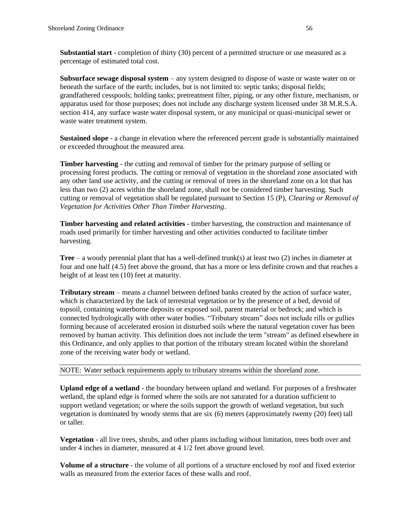**Substantial start** - completion of thirty (30) percent of a permitted structure or use measured as a percentage of estimated total cost.

**Subsurface sewage disposal system** – any system designed to dispose of waste or waste water on or beneath the surface of the earth; includes, but is not limited to: septic tanks; disposal fields; grandfathered cesspools; holding tanks; pretreatment filter, piping, or any other fixture, mechanism, or apparatus used for those purposes; does not include any discharge system licensed under 38 M.R.S.A. section 414, any surface waste water disposal system, or any municipal or quasi-municipal sewer or waste water treatment system.

**Sustained slope** - a change in elevation where the referenced percent grade is substantially maintained or exceeded throughout the measured area.

**Timber harvesting** - the cutting and removal of timber for the primary purpose of selling or processing forest products. The cutting or removal of vegetation in the shoreland zone associated with any other land use activity, and the cutting or removal of trees in the shoreland zone on a lot that has less than two (2) acres within the shoreland zone, shall not be considered timber harvesting. Such cutting or removal of vegetation shall be regulated pursuant to Section 15 (P), *Clearing or Removal of Vegetation for Activities Other Than Timber Harvesting*.

**Timber harvesting and related activities** - timber harvesting, the construction and maintenance of roads used primarily for timber harvesting and other activities conducted to facilitate timber harvesting.

**Tree** – a woody perennial plant that has a well-defined trunk(s) at least two (2) inches in diameter at four and one half (4.5) feet above the ground, that has a more or less definite crown and that reaches a height of at least ten (10) feet at maturity.

**Tributary stream** – means a channel between defined banks created by the action of surface water, which is characterized by the lack of terrestrial vegetation or by the presence of a bed, devoid of topsoil, containing waterborne deposits or exposed soil, parent material or bedrock; and which is connected hydrologically with other water bodies. "Tributary stream" does not include rills or gullies forming because of accelerated erosion in disturbed soils where the natural vegetation cover has been removed by human activity. This definition does not include the term "stream" as defined elsewhere in this Ordinance, and only applies to that portion of the tributary stream located within the shoreland zone of the receiving water body or wetland.

NOTE: Water setback requirements apply to tributary streams within the shoreland zone.

**Upland edge of a wetland** - the boundary between upland and wetland. For purposes of a freshwater wetland, the upland edge is formed where the soils are not saturated for a duration sufficient to support wetland vegetation; or where the soils support the growth of wetland vegetation, but such vegetation is dominated by woody stems that are six (6) meters (approximately twenty (20) feet) tall or taller.

**Vegetation** - all live trees, shrubs, and other plants including without limitation, trees both over and under 4 inches in diameter, measured at 4 1/2 feet above ground level.

**Volume of a structure** - the volume of all portions of a structure enclosed by roof and fixed exterior walls as measured from the exterior faces of these walls and roof.